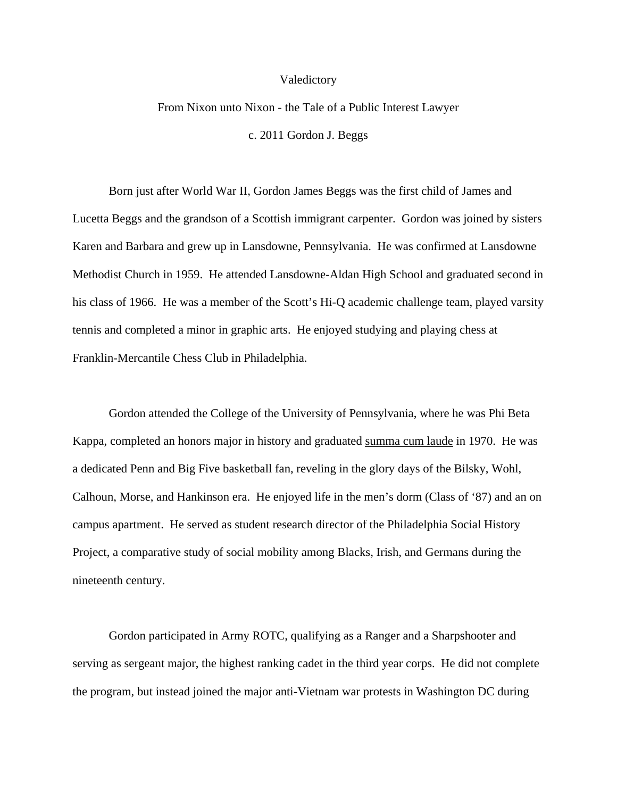## Valedictory

## From Nixon unto Nixon - the Tale of a Public Interest Lawyer c. 2011 Gordon J. Beggs

 Born just after World War II, Gordon James Beggs was the first child of James and Lucetta Beggs and the grandson of a Scottish immigrant carpenter. Gordon was joined by sisters Karen and Barbara and grew up in Lansdowne, Pennsylvania. He was confirmed at Lansdowne Methodist Church in 1959. He attended Lansdowne-Aldan High School and graduated second in his class of 1966. He was a member of the Scott's Hi-Q academic challenge team, played varsity tennis and completed a minor in graphic arts. He enjoyed studying and playing chess at Franklin-Mercantile Chess Club in Philadelphia.

 Gordon attended the College of the University of Pennsylvania, where he was Phi Beta Kappa, completed an honors major in history and graduated summa cum laude in 1970. He was a dedicated Penn and Big Five basketball fan, reveling in the glory days of the Bilsky, Wohl, Calhoun, Morse, and Hankinson era. He enjoyed life in the men's dorm (Class of '87) and an on campus apartment. He served as student research director of the Philadelphia Social History Project, a comparative study of social mobility among Blacks, Irish, and Germans during the nineteenth century.

 Gordon participated in Army ROTC, qualifying as a Ranger and a Sharpshooter and serving as sergeant major, the highest ranking cadet in the third year corps. He did not complete the program, but instead joined the major anti-Vietnam war protests in Washington DC during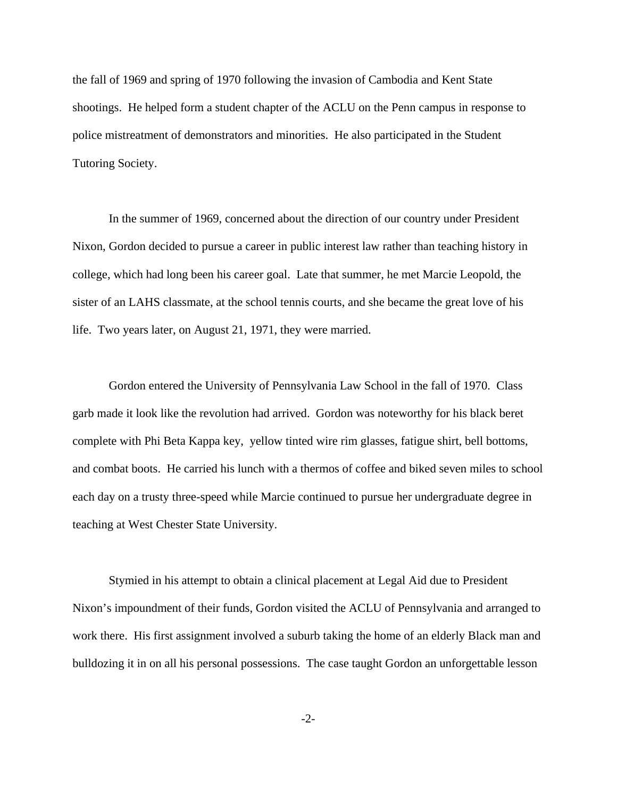the fall of 1969 and spring of 1970 following the invasion of Cambodia and Kent State shootings. He helped form a student chapter of the ACLU on the Penn campus in response to police mistreatment of demonstrators and minorities. He also participated in the Student Tutoring Society.

 In the summer of 1969, concerned about the direction of our country under President Nixon, Gordon decided to pursue a career in public interest law rather than teaching history in college, which had long been his career goal. Late that summer, he met Marcie Leopold, the sister of an LAHS classmate, at the school tennis courts, and she became the great love of his life. Two years later, on August 21, 1971, they were married.

 Gordon entered the University of Pennsylvania Law School in the fall of 1970. Class garb made it look like the revolution had arrived. Gordon was noteworthy for his black beret complete with Phi Beta Kappa key, yellow tinted wire rim glasses, fatigue shirt, bell bottoms, and combat boots. He carried his lunch with a thermos of coffee and biked seven miles to school each day on a trusty three-speed while Marcie continued to pursue her undergraduate degree in teaching at West Chester State University.

 Stymied in his attempt to obtain a clinical placement at Legal Aid due to President Nixon's impoundment of their funds, Gordon visited the ACLU of Pennsylvania and arranged to work there. His first assignment involved a suburb taking the home of an elderly Black man and bulldozing it in on all his personal possessions. The case taught Gordon an unforgettable lesson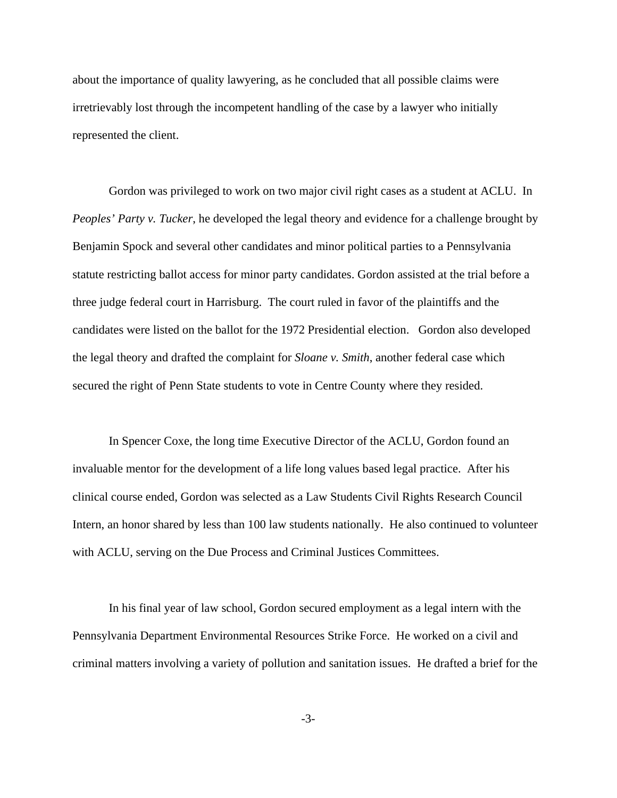about the importance of quality lawyering, as he concluded that all possible claims were irretrievably lost through the incompetent handling of the case by a lawyer who initially represented the client.

 Gordon was privileged to work on two major civil right cases as a student at ACLU. In *Peoples' Party v. Tucker*, he developed the legal theory and evidence for a challenge brought by Benjamin Spock and several other candidates and minor political parties to a Pennsylvania statute restricting ballot access for minor party candidates. Gordon assisted at the trial before a three judge federal court in Harrisburg. The court ruled in favor of the plaintiffs and the candidates were listed on the ballot for the 1972 Presidential election. Gordon also developed the legal theory and drafted the complaint for *Sloane v. Smith*, another federal case which secured the right of Penn State students to vote in Centre County where they resided.

 In Spencer Coxe, the long time Executive Director of the ACLU, Gordon found an invaluable mentor for the development of a life long values based legal practice. After his clinical course ended, Gordon was selected as a Law Students Civil Rights Research Council Intern, an honor shared by less than 100 law students nationally. He also continued to volunteer with ACLU, serving on the Due Process and Criminal Justices Committees.

 In his final year of law school, Gordon secured employment as a legal intern with the Pennsylvania Department Environmental Resources Strike Force. He worked on a civil and criminal matters involving a variety of pollution and sanitation issues. He drafted a brief for the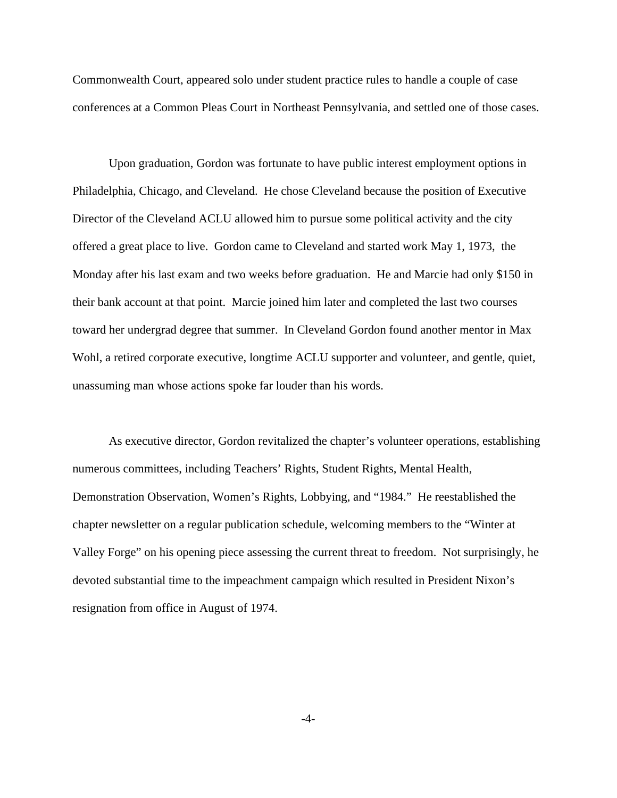Commonwealth Court, appeared solo under student practice rules to handle a couple of case conferences at a Common Pleas Court in Northeast Pennsylvania, and settled one of those cases.

 Upon graduation, Gordon was fortunate to have public interest employment options in Philadelphia, Chicago, and Cleveland. He chose Cleveland because the position of Executive Director of the Cleveland ACLU allowed him to pursue some political activity and the city offered a great place to live. Gordon came to Cleveland and started work May 1, 1973, the Monday after his last exam and two weeks before graduation. He and Marcie had only \$150 in their bank account at that point. Marcie joined him later and completed the last two courses toward her undergrad degree that summer. In Cleveland Gordon found another mentor in Max Wohl, a retired corporate executive, longtime ACLU supporter and volunteer, and gentle, quiet, unassuming man whose actions spoke far louder than his words.

 As executive director, Gordon revitalized the chapter's volunteer operations, establishing numerous committees, including Teachers' Rights, Student Rights, Mental Health, Demonstration Observation, Women's Rights, Lobbying, and "1984." He reestablished the chapter newsletter on a regular publication schedule, welcoming members to the "Winter at Valley Forge" on his opening piece assessing the current threat to freedom. Not surprisingly, he devoted substantial time to the impeachment campaign which resulted in President Nixon's resignation from office in August of 1974.

-4-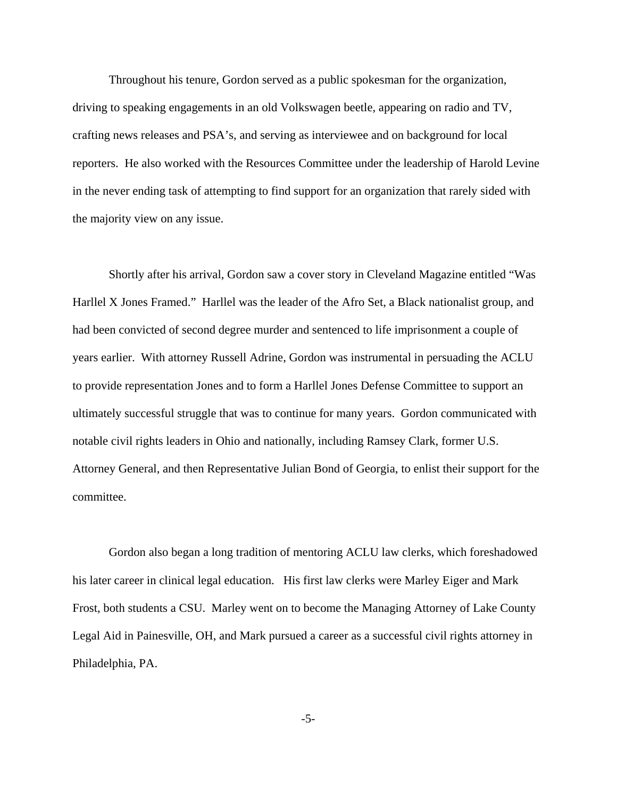Throughout his tenure, Gordon served as a public spokesman for the organization, driving to speaking engagements in an old Volkswagen beetle, appearing on radio and TV, crafting news releases and PSA's, and serving as interviewee and on background for local reporters. He also worked with the Resources Committee under the leadership of Harold Levine in the never ending task of attempting to find support for an organization that rarely sided with the majority view on any issue.

 Shortly after his arrival, Gordon saw a cover story in Cleveland Magazine entitled "Was Harllel X Jones Framed." Harllel was the leader of the Afro Set, a Black nationalist group, and had been convicted of second degree murder and sentenced to life imprisonment a couple of years earlier. With attorney Russell Adrine, Gordon was instrumental in persuading the ACLU to provide representation Jones and to form a Harllel Jones Defense Committee to support an ultimately successful struggle that was to continue for many years. Gordon communicated with notable civil rights leaders in Ohio and nationally, including Ramsey Clark, former U.S. Attorney General, and then Representative Julian Bond of Georgia, to enlist their support for the committee.

 Gordon also began a long tradition of mentoring ACLU law clerks, which foreshadowed his later career in clinical legal education. His first law clerks were Marley Eiger and Mark Frost, both students a CSU. Marley went on to become the Managing Attorney of Lake County Legal Aid in Painesville, OH, and Mark pursued a career as a successful civil rights attorney in Philadelphia, PA.

-5-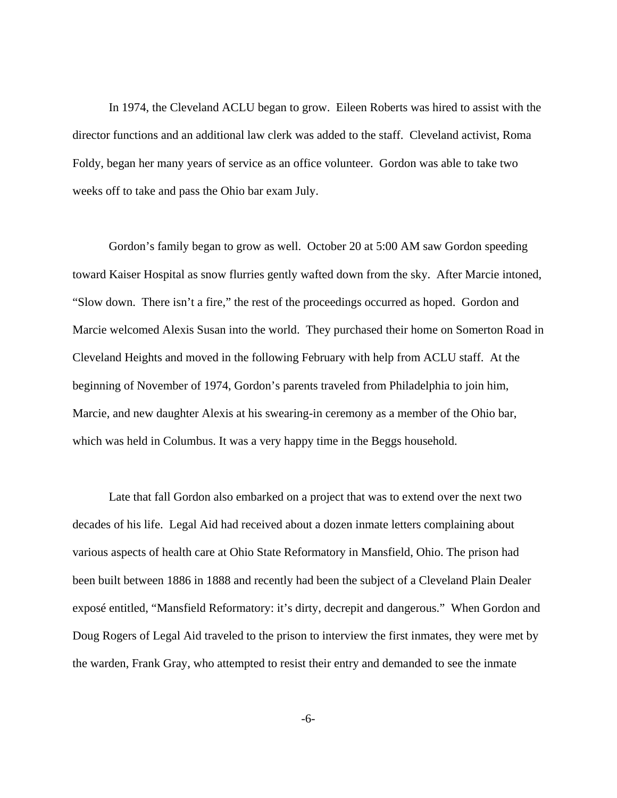In 1974, the Cleveland ACLU began to grow. Eileen Roberts was hired to assist with the director functions and an additional law clerk was added to the staff. Cleveland activist, Roma Foldy, began her many years of service as an office volunteer. Gordon was able to take two weeks off to take and pass the Ohio bar exam July.

 Gordon's family began to grow as well. October 20 at 5:00 AM saw Gordon speeding toward Kaiser Hospital as snow flurries gently wafted down from the sky. After Marcie intoned, "Slow down. There isn't a fire," the rest of the proceedings occurred as hoped. Gordon and Marcie welcomed Alexis Susan into the world. They purchased their home on Somerton Road in Cleveland Heights and moved in the following February with help from ACLU staff. At the beginning of November of 1974, Gordon's parents traveled from Philadelphia to join him, Marcie, and new daughter Alexis at his swearing-in ceremony as a member of the Ohio bar, which was held in Columbus. It was a very happy time in the Beggs household.

 Late that fall Gordon also embarked on a project that was to extend over the next two decades of his life. Legal Aid had received about a dozen inmate letters complaining about various aspects of health care at Ohio State Reformatory in Mansfield, Ohio. The prison had been built between 1886 in 1888 and recently had been the subject of a Cleveland Plain Dealer exposé entitled, "Mansfield Reformatory: it's dirty, decrepit and dangerous." When Gordon and Doug Rogers of Legal Aid traveled to the prison to interview the first inmates, they were met by the warden, Frank Gray, who attempted to resist their entry and demanded to see the inmate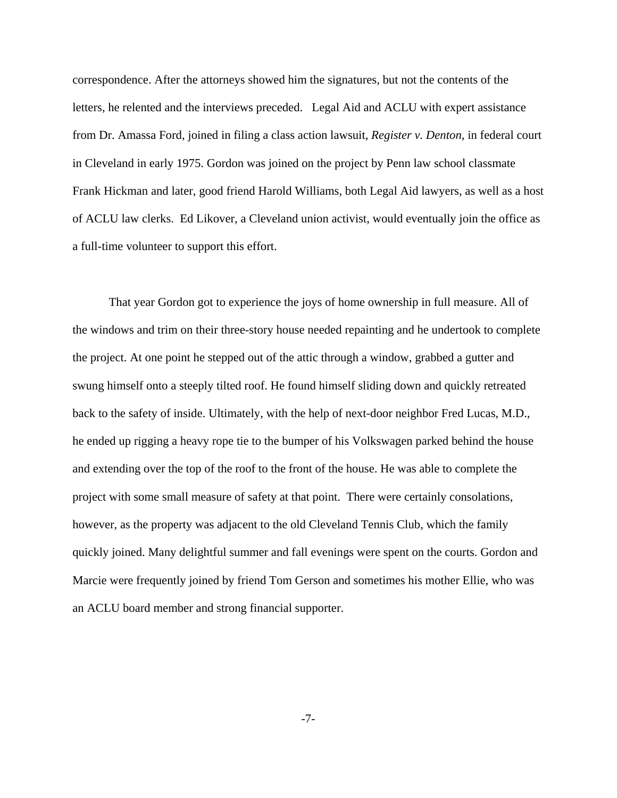correspondence. After the attorneys showed him the signatures, but not the contents of the letters, he relented and the interviews preceded. Legal Aid and ACLU with expert assistance from Dr. Amassa Ford, joined in filing a class action lawsuit, *Register v. Denton*, in federal court in Cleveland in early 1975. Gordon was joined on the project by Penn law school classmate Frank Hickman and later, good friend Harold Williams, both Legal Aid lawyers, as well as a host of ACLU law clerks. Ed Likover, a Cleveland union activist, would eventually join the office as a full-time volunteer to support this effort.

 That year Gordon got to experience the joys of home ownership in full measure. All of the windows and trim on their three-story house needed repainting and he undertook to complete the project. At one point he stepped out of the attic through a window, grabbed a gutter and swung himself onto a steeply tilted roof. He found himself sliding down and quickly retreated back to the safety of inside. Ultimately, with the help of next-door neighbor Fred Lucas, M.D., he ended up rigging a heavy rope tie to the bumper of his Volkswagen parked behind the house and extending over the top of the roof to the front of the house. He was able to complete the project with some small measure of safety at that point. There were certainly consolations, however, as the property was adjacent to the old Cleveland Tennis Club, which the family quickly joined. Many delightful summer and fall evenings were spent on the courts. Gordon and Marcie were frequently joined by friend Tom Gerson and sometimes his mother Ellie, who was an ACLU board member and strong financial supporter.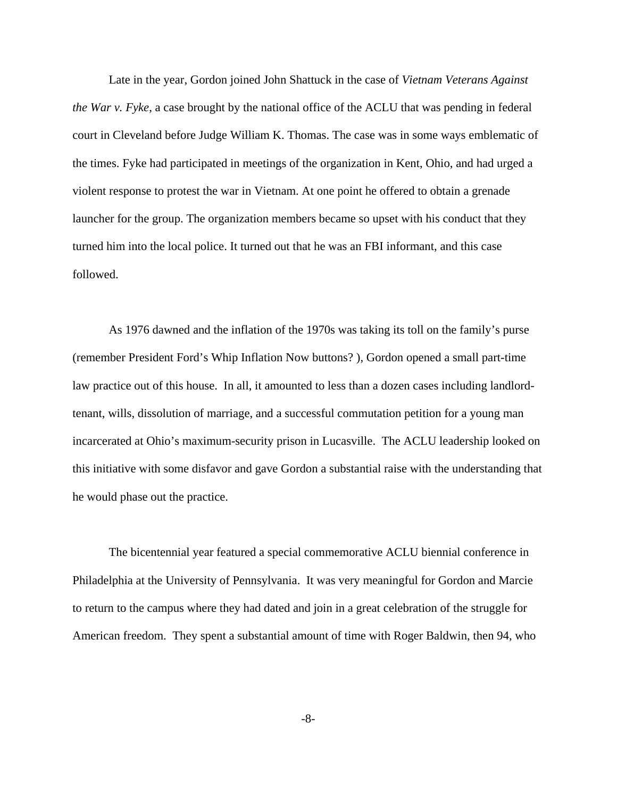Late in the year, Gordon joined John Shattuck in the case of *Vietnam Veterans Against the War v. Fyke*, a case brought by the national office of the ACLU that was pending in federal court in Cleveland before Judge William K. Thomas. The case was in some ways emblematic of the times. Fyke had participated in meetings of the organization in Kent, Ohio, and had urged a violent response to protest the war in Vietnam. At one point he offered to obtain a grenade launcher for the group. The organization members became so upset with his conduct that they turned him into the local police. It turned out that he was an FBI informant, and this case followed.

 As 1976 dawned and the inflation of the 1970s was taking its toll on the family's purse (remember President Ford's Whip Inflation Now buttons? ), Gordon opened a small part-time law practice out of this house. In all, it amounted to less than a dozen cases including landlordtenant, wills, dissolution of marriage, and a successful commutation petition for a young man incarcerated at Ohio's maximum-security prison in Lucasville. The ACLU leadership looked on this initiative with some disfavor and gave Gordon a substantial raise with the understanding that he would phase out the practice.

 The bicentennial year featured a special commemorative ACLU biennial conference in Philadelphia at the University of Pennsylvania. It was very meaningful for Gordon and Marcie to return to the campus where they had dated and join in a great celebration of the struggle for American freedom. They spent a substantial amount of time with Roger Baldwin, then 94, who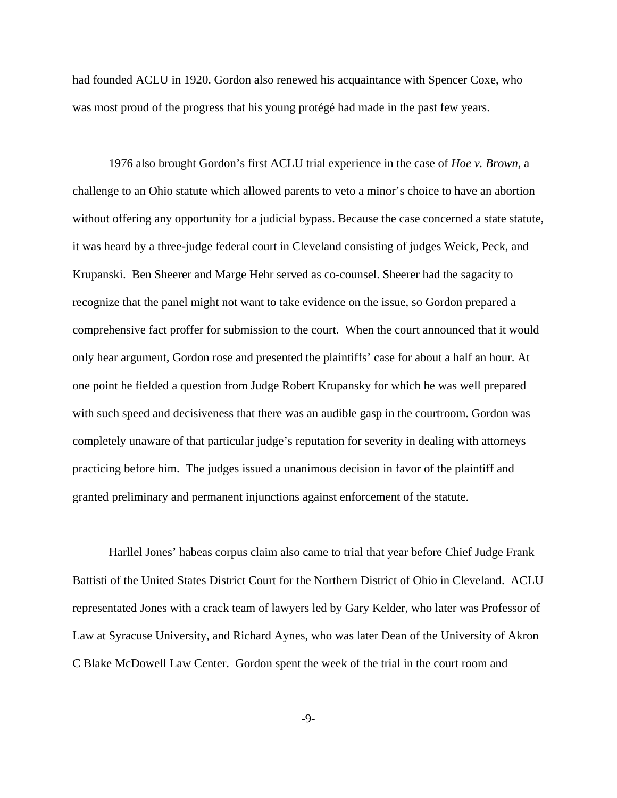had founded ACLU in 1920. Gordon also renewed his acquaintance with Spencer Coxe, who was most proud of the progress that his young protégé had made in the past few years.

 1976 also brought Gordon's first ACLU trial experience in the case of *Hoe v. Brown*, a challenge to an Ohio statute which allowed parents to veto a minor's choice to have an abortion without offering any opportunity for a judicial bypass. Because the case concerned a state statute, it was heard by a three-judge federal court in Cleveland consisting of judges Weick, Peck, and Krupanski. Ben Sheerer and Marge Hehr served as co-counsel. Sheerer had the sagacity to recognize that the panel might not want to take evidence on the issue, so Gordon prepared a comprehensive fact proffer for submission to the court. When the court announced that it would only hear argument, Gordon rose and presented the plaintiffs' case for about a half an hour. At one point he fielded a question from Judge Robert Krupansky for which he was well prepared with such speed and decisiveness that there was an audible gasp in the courtroom. Gordon was completely unaware of that particular judge's reputation for severity in dealing with attorneys practicing before him. The judges issued a unanimous decision in favor of the plaintiff and granted preliminary and permanent injunctions against enforcement of the statute.

 Harllel Jones' habeas corpus claim also came to trial that year before Chief Judge Frank Battisti of the United States District Court for the Northern District of Ohio in Cleveland. ACLU representated Jones with a crack team of lawyers led by Gary Kelder, who later was Professor of Law at Syracuse University, and Richard Aynes, who was later Dean of the University of Akron C Blake McDowell Law Center. Gordon spent the week of the trial in the court room and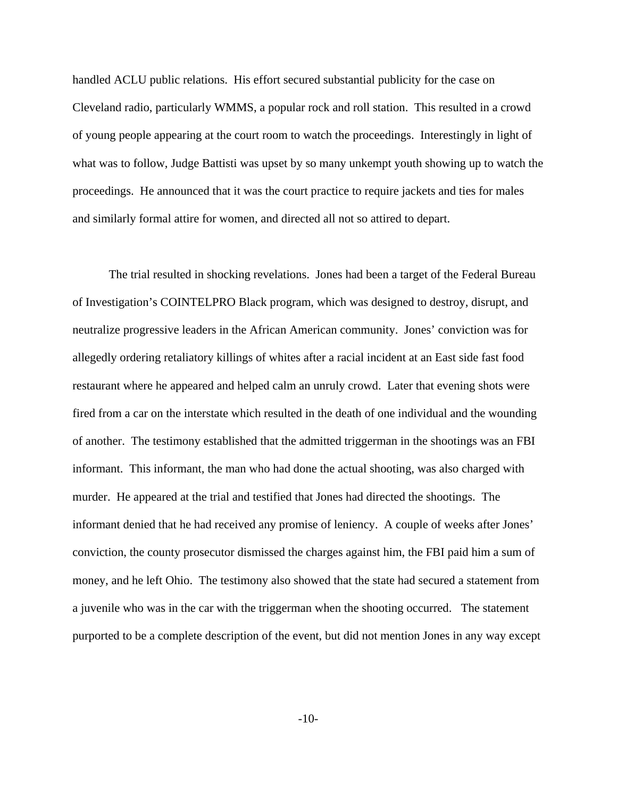handled ACLU public relations. His effort secured substantial publicity for the case on Cleveland radio, particularly WMMS, a popular rock and roll station. This resulted in a crowd of young people appearing at the court room to watch the proceedings. Interestingly in light of what was to follow, Judge Battisti was upset by so many unkempt youth showing up to watch the proceedings. He announced that it was the court practice to require jackets and ties for males and similarly formal attire for women, and directed all not so attired to depart.

 The trial resulted in shocking revelations. Jones had been a target of the Federal Bureau of Investigation's COINTELPRO Black program, which was designed to destroy, disrupt, and neutralize progressive leaders in the African American community. Jones' conviction was for allegedly ordering retaliatory killings of whites after a racial incident at an East side fast food restaurant where he appeared and helped calm an unruly crowd. Later that evening shots were fired from a car on the interstate which resulted in the death of one individual and the wounding of another. The testimony established that the admitted triggerman in the shootings was an FBI informant. This informant, the man who had done the actual shooting, was also charged with murder. He appeared at the trial and testified that Jones had directed the shootings. The informant denied that he had received any promise of leniency. A couple of weeks after Jones' conviction, the county prosecutor dismissed the charges against him, the FBI paid him a sum of money, and he left Ohio. The testimony also showed that the state had secured a statement from a juvenile who was in the car with the triggerman when the shooting occurred. The statement purported to be a complete description of the event, but did not mention Jones in any way except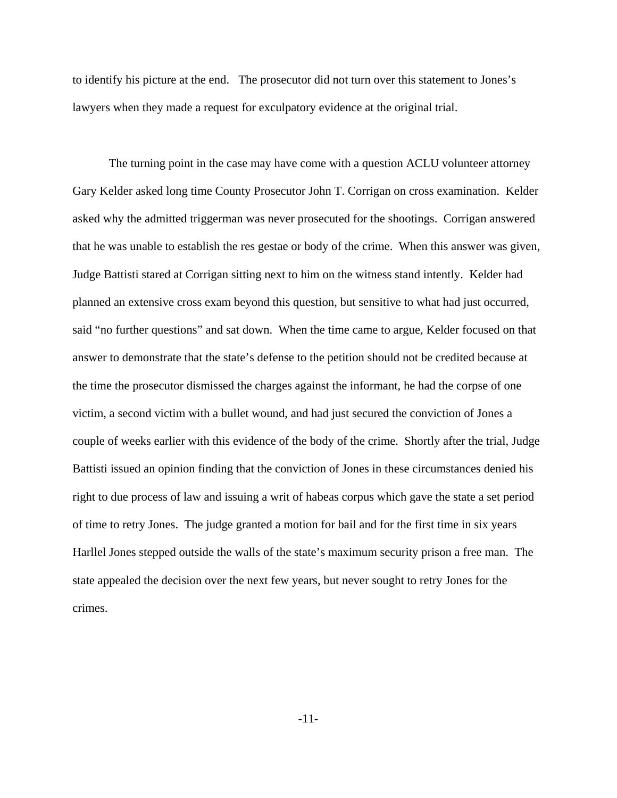to identify his picture at the end. The prosecutor did not turn over this statement to Jones's lawyers when they made a request for exculpatory evidence at the original trial.

 The turning point in the case may have come with a question ACLU volunteer attorney Gary Kelder asked long time County Prosecutor John T. Corrigan on cross examination. Kelder asked why the admitted triggerman was never prosecuted for the shootings. Corrigan answered that he was unable to establish the res gestae or body of the crime. When this answer was given, Judge Battisti stared at Corrigan sitting next to him on the witness stand intently. Kelder had planned an extensive cross exam beyond this question, but sensitive to what had just occurred, said "no further questions" and sat down. When the time came to argue, Kelder focused on that answer to demonstrate that the state's defense to the petition should not be credited because at the time the prosecutor dismissed the charges against the informant, he had the corpse of one victim, a second victim with a bullet wound, and had just secured the conviction of Jones a couple of weeks earlier with this evidence of the body of the crime. Shortly after the trial, Judge Battisti issued an opinion finding that the conviction of Jones in these circumstances denied his right to due process of law and issuing a writ of habeas corpus which gave the state a set period of time to retry Jones. The judge granted a motion for bail and for the first time in six years Harllel Jones stepped outside the walls of the state's maximum security prison a free man. The state appealed the decision over the next few years, but never sought to retry Jones for the crimes.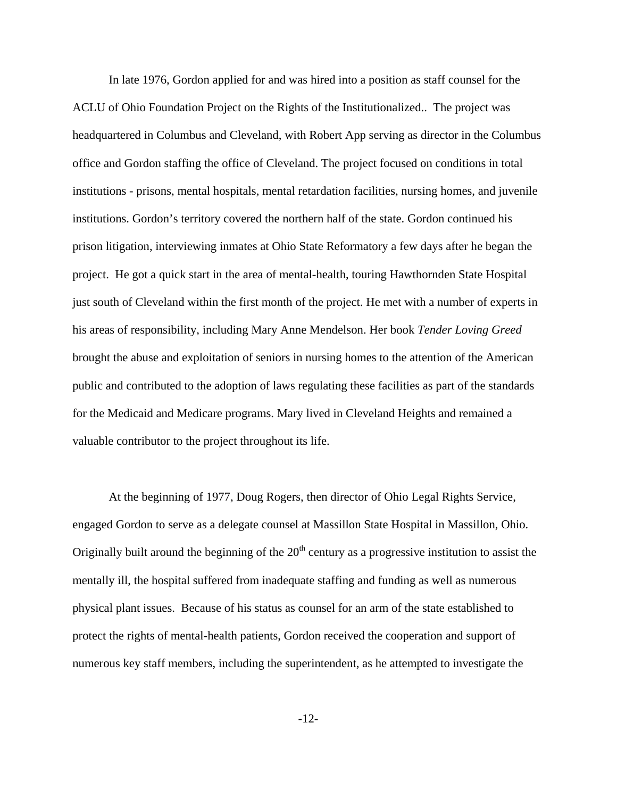In late 1976, Gordon applied for and was hired into a position as staff counsel for the ACLU of Ohio Foundation Project on the Rights of the Institutionalized.. The project was headquartered in Columbus and Cleveland, with Robert App serving as director in the Columbus office and Gordon staffing the office of Cleveland. The project focused on conditions in total institutions - prisons, mental hospitals, mental retardation facilities, nursing homes, and juvenile institutions. Gordon's territory covered the northern half of the state. Gordon continued his prison litigation, interviewing inmates at Ohio State Reformatory a few days after he began the project. He got a quick start in the area of mental-health, touring Hawthornden State Hospital just south of Cleveland within the first month of the project. He met with a number of experts in his areas of responsibility, including Mary Anne Mendelson. Her book *Tender Loving Greed*  brought the abuse and exploitation of seniors in nursing homes to the attention of the American public and contributed to the adoption of laws regulating these facilities as part of the standards for the Medicaid and Medicare programs. Mary lived in Cleveland Heights and remained a valuable contributor to the project throughout its life.

 At the beginning of 1977, Doug Rogers, then director of Ohio Legal Rights Service, engaged Gordon to serve as a delegate counsel at Massillon State Hospital in Massillon, Ohio. Originally built around the beginning of the  $20<sup>th</sup>$  century as a progressive institution to assist the mentally ill, the hospital suffered from inadequate staffing and funding as well as numerous physical plant issues. Because of his status as counsel for an arm of the state established to protect the rights of mental-health patients, Gordon received the cooperation and support of numerous key staff members, including the superintendent, as he attempted to investigate the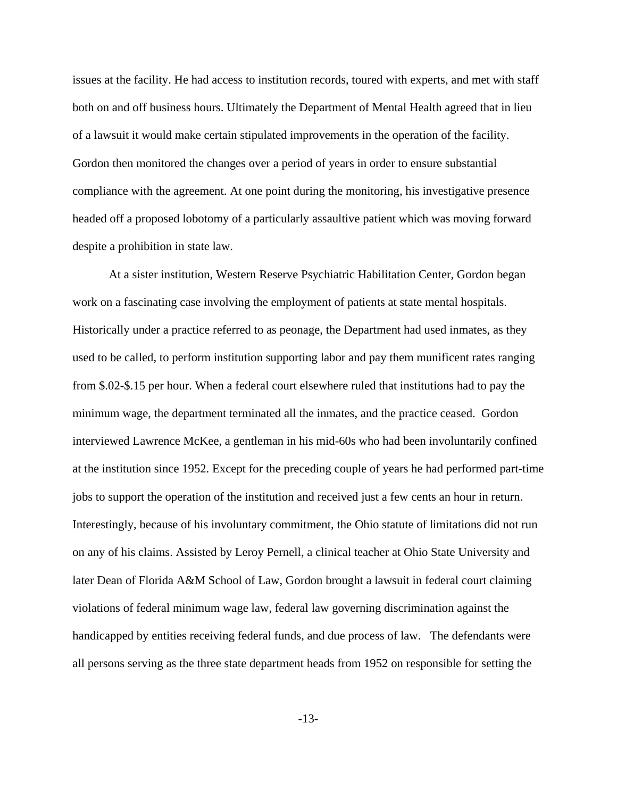issues at the facility. He had access to institution records, toured with experts, and met with staff both on and off business hours. Ultimately the Department of Mental Health agreed that in lieu of a lawsuit it would make certain stipulated improvements in the operation of the facility. Gordon then monitored the changes over a period of years in order to ensure substantial compliance with the agreement. At one point during the monitoring, his investigative presence headed off a proposed lobotomy of a particularly assaultive patient which was moving forward despite a prohibition in state law.

 At a sister institution, Western Reserve Psychiatric Habilitation Center, Gordon began work on a fascinating case involving the employment of patients at state mental hospitals. Historically under a practice referred to as peonage, the Department had used inmates, as they used to be called, to perform institution supporting labor and pay them munificent rates ranging from \$.02-\$.15 per hour. When a federal court elsewhere ruled that institutions had to pay the minimum wage, the department terminated all the inmates, and the practice ceased. Gordon interviewed Lawrence McKee, a gentleman in his mid-60s who had been involuntarily confined at the institution since 1952. Except for the preceding couple of years he had performed part-time jobs to support the operation of the institution and received just a few cents an hour in return. Interestingly, because of his involuntary commitment, the Ohio statute of limitations did not run on any of his claims. Assisted by Leroy Pernell, a clinical teacher at Ohio State University and later Dean of Florida A&M School of Law, Gordon brought a lawsuit in federal court claiming violations of federal minimum wage law, federal law governing discrimination against the handicapped by entities receiving federal funds, and due process of law. The defendants were all persons serving as the three state department heads from 1952 on responsible for setting the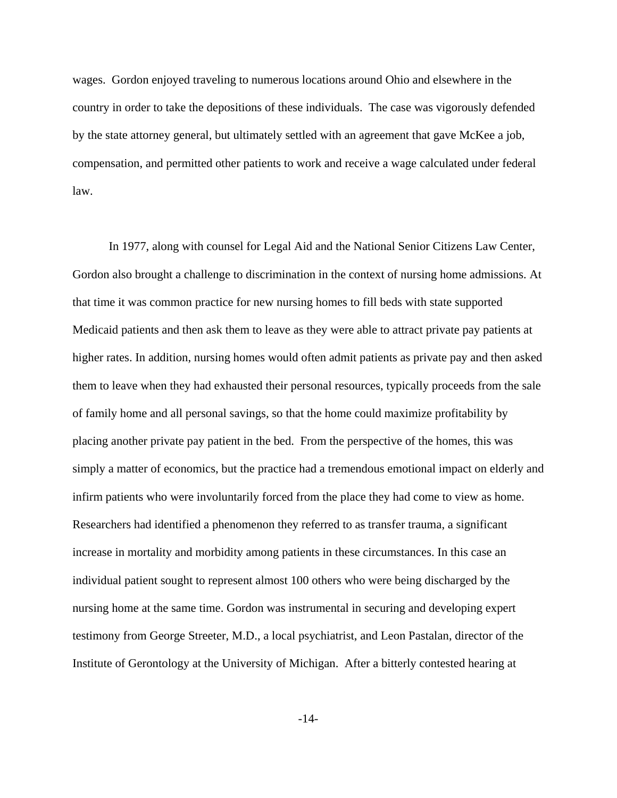wages. Gordon enjoyed traveling to numerous locations around Ohio and elsewhere in the country in order to take the depositions of these individuals. The case was vigorously defended by the state attorney general, but ultimately settled with an agreement that gave McKee a job, compensation, and permitted other patients to work and receive a wage calculated under federal law.

 In 1977, along with counsel for Legal Aid and the National Senior Citizens Law Center, Gordon also brought a challenge to discrimination in the context of nursing home admissions. At that time it was common practice for new nursing homes to fill beds with state supported Medicaid patients and then ask them to leave as they were able to attract private pay patients at higher rates. In addition, nursing homes would often admit patients as private pay and then asked them to leave when they had exhausted their personal resources, typically proceeds from the sale of family home and all personal savings, so that the home could maximize profitability by placing another private pay patient in the bed. From the perspective of the homes, this was simply a matter of economics, but the practice had a tremendous emotional impact on elderly and infirm patients who were involuntarily forced from the place they had come to view as home. Researchers had identified a phenomenon they referred to as transfer trauma, a significant increase in mortality and morbidity among patients in these circumstances. In this case an individual patient sought to represent almost 100 others who were being discharged by the nursing home at the same time. Gordon was instrumental in securing and developing expert testimony from George Streeter, M.D., a local psychiatrist, and Leon Pastalan, director of the Institute of Gerontology at the University of Michigan. After a bitterly contested hearing at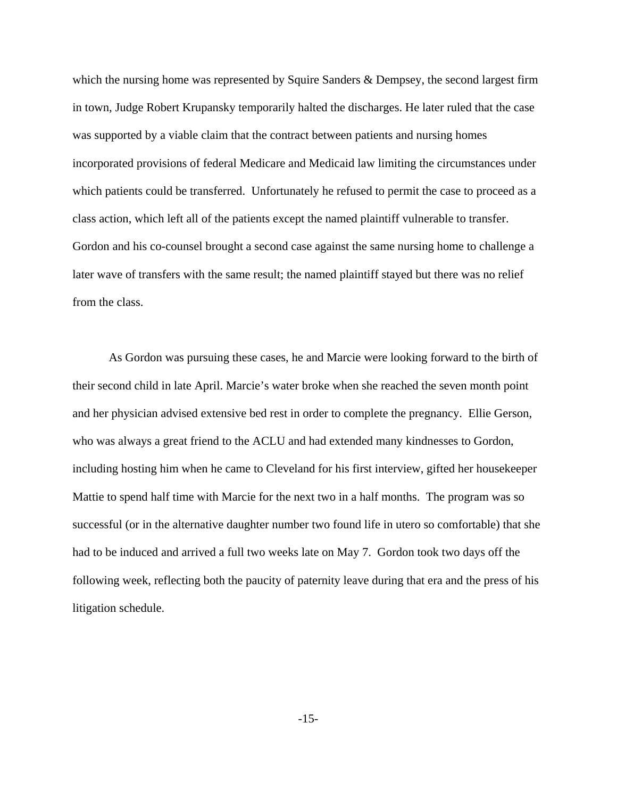which the nursing home was represented by Squire Sanders & Dempsey, the second largest firm in town, Judge Robert Krupansky temporarily halted the discharges. He later ruled that the case was supported by a viable claim that the contract between patients and nursing homes incorporated provisions of federal Medicare and Medicaid law limiting the circumstances under which patients could be transferred. Unfortunately he refused to permit the case to proceed as a class action, which left all of the patients except the named plaintiff vulnerable to transfer. Gordon and his co-counsel brought a second case against the same nursing home to challenge a later wave of transfers with the same result; the named plaintiff stayed but there was no relief from the class.

 As Gordon was pursuing these cases, he and Marcie were looking forward to the birth of their second child in late April. Marcie's water broke when she reached the seven month point and her physician advised extensive bed rest in order to complete the pregnancy. Ellie Gerson, who was always a great friend to the ACLU and had extended many kindnesses to Gordon, including hosting him when he came to Cleveland for his first interview, gifted her housekeeper Mattie to spend half time with Marcie for the next two in a half months. The program was so successful (or in the alternative daughter number two found life in utero so comfortable) that she had to be induced and arrived a full two weeks late on May 7. Gordon took two days off the following week, reflecting both the paucity of paternity leave during that era and the press of his litigation schedule.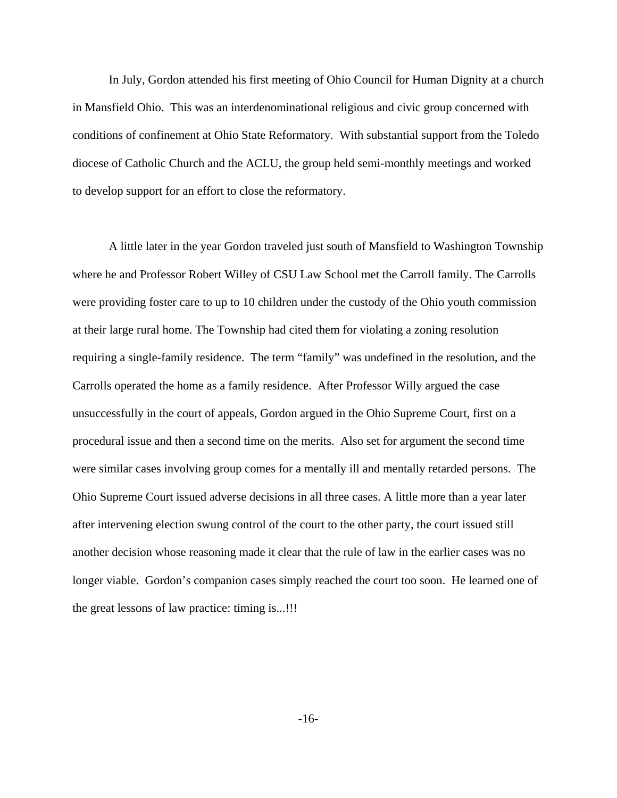In July, Gordon attended his first meeting of Ohio Council for Human Dignity at a church in Mansfield Ohio. This was an interdenominational religious and civic group concerned with conditions of confinement at Ohio State Reformatory. With substantial support from the Toledo diocese of Catholic Church and the ACLU, the group held semi-monthly meetings and worked to develop support for an effort to close the reformatory.

 A little later in the year Gordon traveled just south of Mansfield to Washington Township where he and Professor Robert Willey of CSU Law School met the Carroll family. The Carrolls were providing foster care to up to 10 children under the custody of the Ohio youth commission at their large rural home. The Township had cited them for violating a zoning resolution requiring a single-family residence. The term "family" was undefined in the resolution, and the Carrolls operated the home as a family residence. After Professor Willy argued the case unsuccessfully in the court of appeals, Gordon argued in the Ohio Supreme Court, first on a procedural issue and then a second time on the merits. Also set for argument the second time were similar cases involving group comes for a mentally ill and mentally retarded persons. The Ohio Supreme Court issued adverse decisions in all three cases. A little more than a year later after intervening election swung control of the court to the other party, the court issued still another decision whose reasoning made it clear that the rule of law in the earlier cases was no longer viable. Gordon's companion cases simply reached the court too soon. He learned one of the great lessons of law practice: timing is...!!!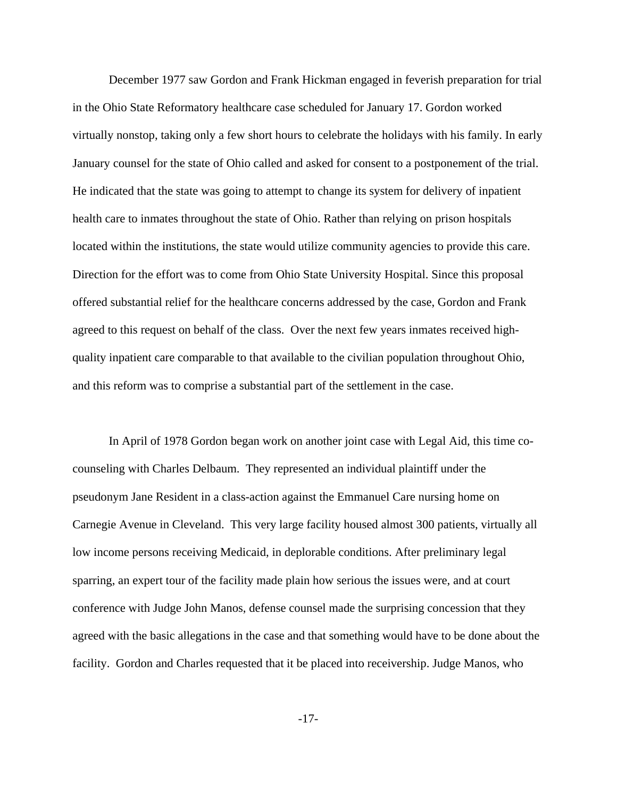December 1977 saw Gordon and Frank Hickman engaged in feverish preparation for trial in the Ohio State Reformatory healthcare case scheduled for January 17. Gordon worked virtually nonstop, taking only a few short hours to celebrate the holidays with his family. In early January counsel for the state of Ohio called and asked for consent to a postponement of the trial. He indicated that the state was going to attempt to change its system for delivery of inpatient health care to inmates throughout the state of Ohio. Rather than relying on prison hospitals located within the institutions, the state would utilize community agencies to provide this care. Direction for the effort was to come from Ohio State University Hospital. Since this proposal offered substantial relief for the healthcare concerns addressed by the case, Gordon and Frank agreed to this request on behalf of the class. Over the next few years inmates received highquality inpatient care comparable to that available to the civilian population throughout Ohio, and this reform was to comprise a substantial part of the settlement in the case.

 In April of 1978 Gordon began work on another joint case with Legal Aid, this time cocounseling with Charles Delbaum. They represented an individual plaintiff under the pseudonym Jane Resident in a class-action against the Emmanuel Care nursing home on Carnegie Avenue in Cleveland. This very large facility housed almost 300 patients, virtually all low income persons receiving Medicaid, in deplorable conditions. After preliminary legal sparring, an expert tour of the facility made plain how serious the issues were, and at court conference with Judge John Manos, defense counsel made the surprising concession that they agreed with the basic allegations in the case and that something would have to be done about the facility. Gordon and Charles requested that it be placed into receivership. Judge Manos, who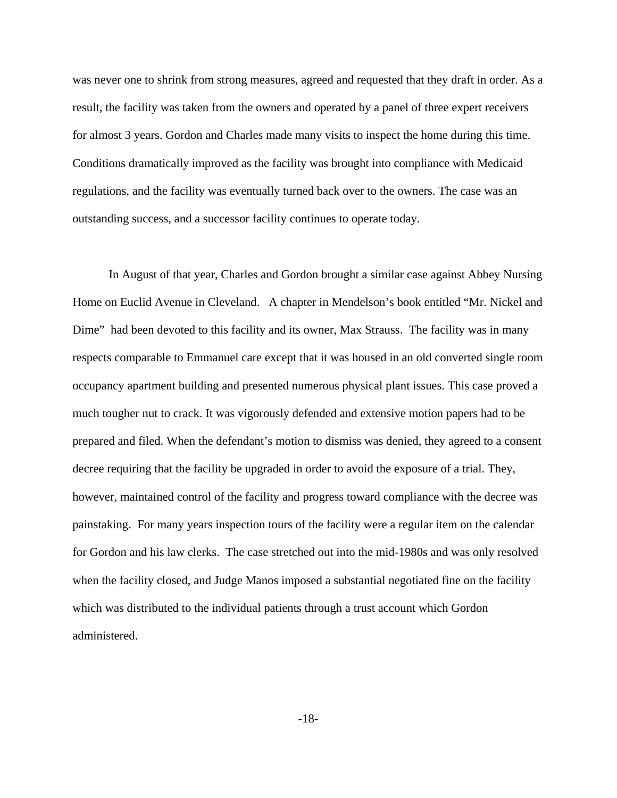was never one to shrink from strong measures, agreed and requested that they draft in order. As a result, the facility was taken from the owners and operated by a panel of three expert receivers for almost 3 years. Gordon and Charles made many visits to inspect the home during this time. Conditions dramatically improved as the facility was brought into compliance with Medicaid regulations, and the facility was eventually turned back over to the owners. The case was an outstanding success, and a successor facility continues to operate today.

 In August of that year, Charles and Gordon brought a similar case against Abbey Nursing Home on Euclid Avenue in Cleveland. A chapter in Mendelson's book entitled "Mr. Nickel and Dime" had been devoted to this facility and its owner, Max Strauss. The facility was in many respects comparable to Emmanuel care except that it was housed in an old converted single room occupancy apartment building and presented numerous physical plant issues. This case proved a much tougher nut to crack. It was vigorously defended and extensive motion papers had to be prepared and filed. When the defendant's motion to dismiss was denied, they agreed to a consent decree requiring that the facility be upgraded in order to avoid the exposure of a trial. They, however, maintained control of the facility and progress toward compliance with the decree was painstaking. For many years inspection tours of the facility were a regular item on the calendar for Gordon and his law clerks. The case stretched out into the mid-1980s and was only resolved when the facility closed, and Judge Manos imposed a substantial negotiated fine on the facility which was distributed to the individual patients through a trust account which Gordon administered.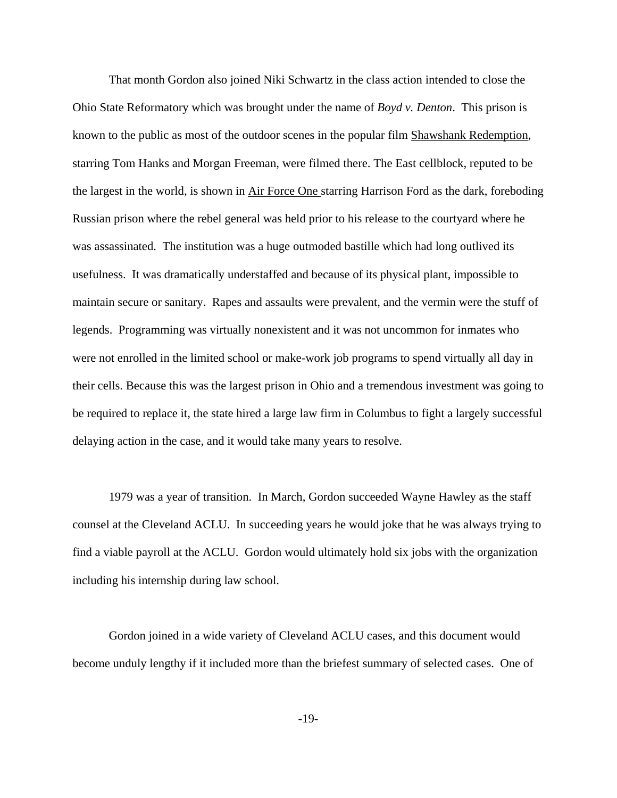That month Gordon also joined Niki Schwartz in the class action intended to close the Ohio State Reformatory which was brought under the name of *Boyd v. Denton*. This prison is known to the public as most of the outdoor scenes in the popular film Shawshank Redemption, starring Tom Hanks and Morgan Freeman, were filmed there. The East cellblock, reputed to be the largest in the world, is shown in Air Force One starring Harrison Ford as the dark, foreboding Russian prison where the rebel general was held prior to his release to the courtyard where he was assassinated. The institution was a huge outmoded bastille which had long outlived its usefulness. It was dramatically understaffed and because of its physical plant, impossible to maintain secure or sanitary. Rapes and assaults were prevalent, and the vermin were the stuff of legends. Programming was virtually nonexistent and it was not uncommon for inmates who were not enrolled in the limited school or make-work job programs to spend virtually all day in their cells. Because this was the largest prison in Ohio and a tremendous investment was going to be required to replace it, the state hired a large law firm in Columbus to fight a largely successful delaying action in the case, and it would take many years to resolve.

 1979 was a year of transition. In March, Gordon succeeded Wayne Hawley as the staff counsel at the Cleveland ACLU. In succeeding years he would joke that he was always trying to find a viable payroll at the ACLU. Gordon would ultimately hold six jobs with the organization including his internship during law school.

 Gordon joined in a wide variety of Cleveland ACLU cases, and this document would become unduly lengthy if it included more than the briefest summary of selected cases. One of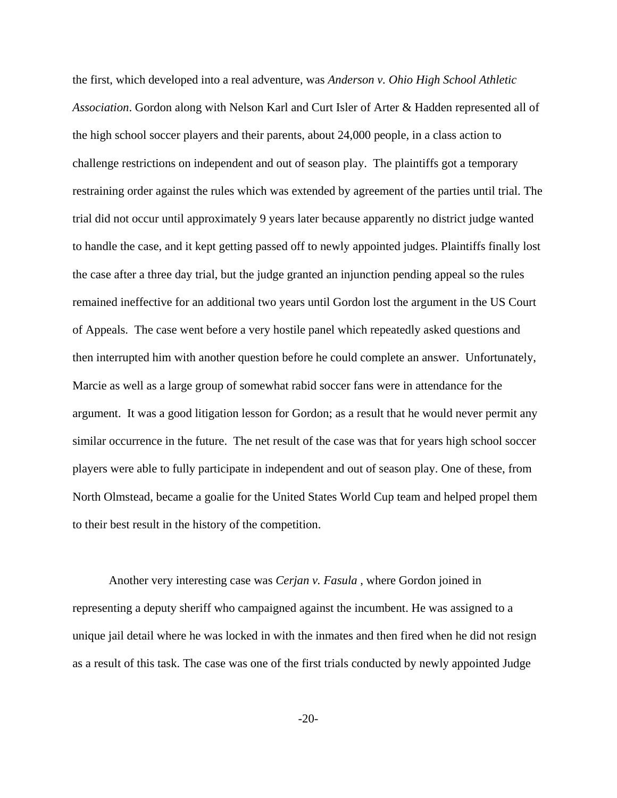the first, which developed into a real adventure, was *Anderson v. Ohio High School Athletic Association*. Gordon along with Nelson Karl and Curt Isler of Arter & Hadden represented all of the high school soccer players and their parents, about 24,000 people, in a class action to challenge restrictions on independent and out of season play. The plaintiffs got a temporary restraining order against the rules which was extended by agreement of the parties until trial. The trial did not occur until approximately 9 years later because apparently no district judge wanted to handle the case, and it kept getting passed off to newly appointed judges. Plaintiffs finally lost the case after a three day trial, but the judge granted an injunction pending appeal so the rules remained ineffective for an additional two years until Gordon lost the argument in the US Court of Appeals. The case went before a very hostile panel which repeatedly asked questions and then interrupted him with another question before he could complete an answer. Unfortunately, Marcie as well as a large group of somewhat rabid soccer fans were in attendance for the argument. It was a good litigation lesson for Gordon; as a result that he would never permit any similar occurrence in the future. The net result of the case was that for years high school soccer players were able to fully participate in independent and out of season play. One of these, from North Olmstead, became a goalie for the United States World Cup team and helped propel them to their best result in the history of the competition.

 Another very interesting case was *Cerjan v. Fasula* , where Gordon joined in representing a deputy sheriff who campaigned against the incumbent. He was assigned to a unique jail detail where he was locked in with the inmates and then fired when he did not resign as a result of this task. The case was one of the first trials conducted by newly appointed Judge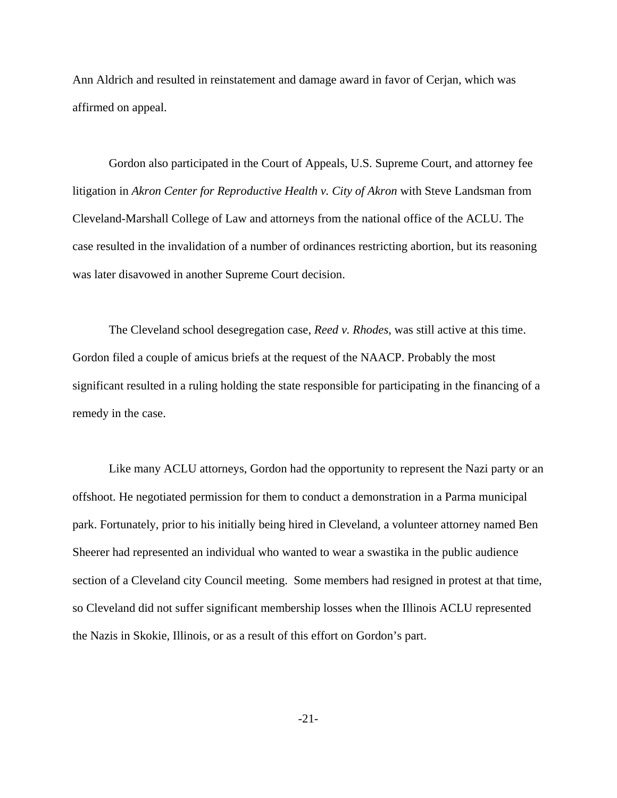Ann Aldrich and resulted in reinstatement and damage award in favor of Cerjan, which was affirmed on appeal.

 Gordon also participated in the Court of Appeals, U.S. Supreme Court, and attorney fee litigation in *Akron Center for Reproductive Health v. City of Akron* with Steve Landsman from Cleveland-Marshall College of Law and attorneys from the national office of the ACLU. The case resulted in the invalidation of a number of ordinances restricting abortion, but its reasoning was later disavowed in another Supreme Court decision.

 The Cleveland school desegregation case, *Reed v. Rhodes*, was still active at this time. Gordon filed a couple of amicus briefs at the request of the NAACP. Probably the most significant resulted in a ruling holding the state responsible for participating in the financing of a remedy in the case.

 Like many ACLU attorneys, Gordon had the opportunity to represent the Nazi party or an offshoot. He negotiated permission for them to conduct a demonstration in a Parma municipal park. Fortunately, prior to his initially being hired in Cleveland, a volunteer attorney named Ben Sheerer had represented an individual who wanted to wear a swastika in the public audience section of a Cleveland city Council meeting. Some members had resigned in protest at that time, so Cleveland did not suffer significant membership losses when the Illinois ACLU represented the Nazis in Skokie, Illinois, or as a result of this effort on Gordon's part.

-21-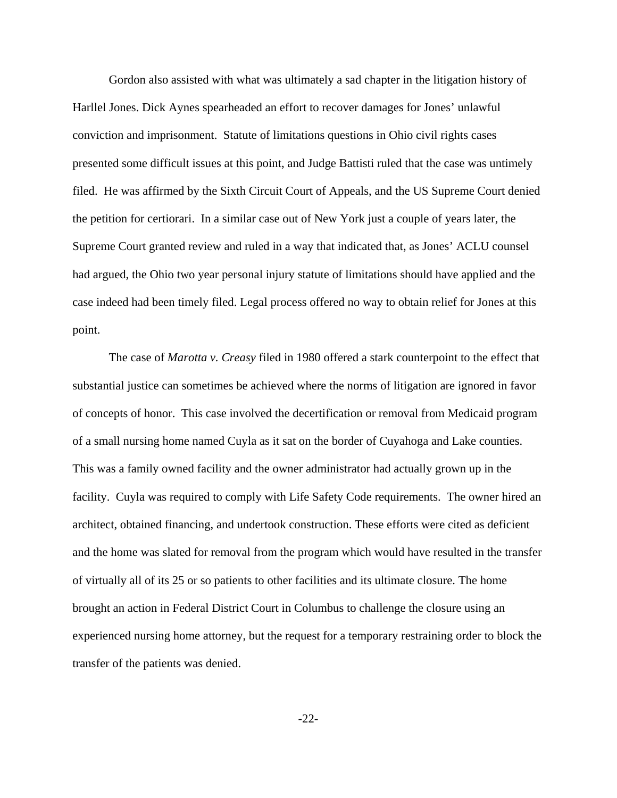Gordon also assisted with what was ultimately a sad chapter in the litigation history of Harllel Jones. Dick Aynes spearheaded an effort to recover damages for Jones' unlawful conviction and imprisonment. Statute of limitations questions in Ohio civil rights cases presented some difficult issues at this point, and Judge Battisti ruled that the case was untimely filed. He was affirmed by the Sixth Circuit Court of Appeals, and the US Supreme Court denied the petition for certiorari. In a similar case out of New York just a couple of years later, the Supreme Court granted review and ruled in a way that indicated that, as Jones' ACLU counsel had argued, the Ohio two year personal injury statute of limitations should have applied and the case indeed had been timely filed. Legal process offered no way to obtain relief for Jones at this point.

 The case of *Marotta v. Creasy* filed in 1980 offered a stark counterpoint to the effect that substantial justice can sometimes be achieved where the norms of litigation are ignored in favor of concepts of honor. This case involved the decertification or removal from Medicaid program of a small nursing home named Cuyla as it sat on the border of Cuyahoga and Lake counties. This was a family owned facility and the owner administrator had actually grown up in the facility. Cuyla was required to comply with Life Safety Code requirements. The owner hired an architect, obtained financing, and undertook construction. These efforts were cited as deficient and the home was slated for removal from the program which would have resulted in the transfer of virtually all of its 25 or so patients to other facilities and its ultimate closure. The home brought an action in Federal District Court in Columbus to challenge the closure using an experienced nursing home attorney, but the request for a temporary restraining order to block the transfer of the patients was denied.

-22-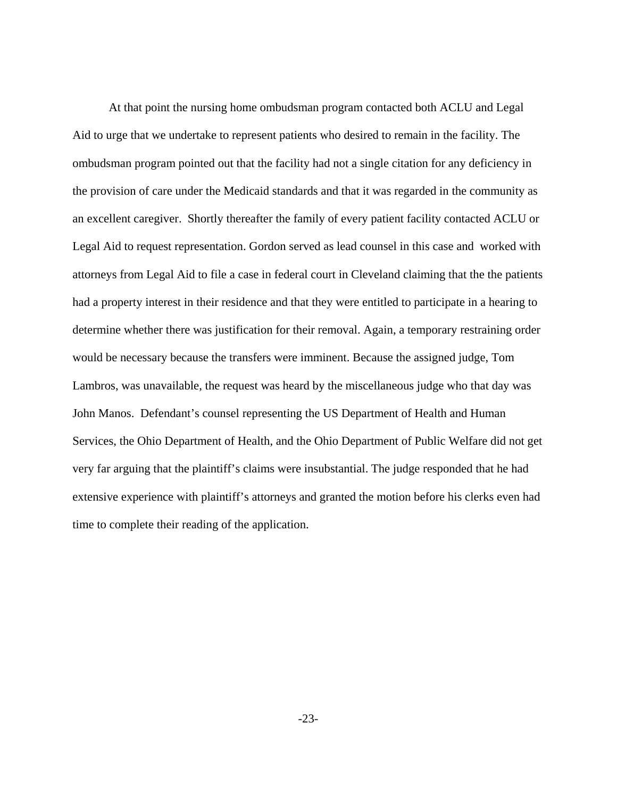At that point the nursing home ombudsman program contacted both ACLU and Legal Aid to urge that we undertake to represent patients who desired to remain in the facility. The ombudsman program pointed out that the facility had not a single citation for any deficiency in the provision of care under the Medicaid standards and that it was regarded in the community as an excellent caregiver. Shortly thereafter the family of every patient facility contacted ACLU or Legal Aid to request representation. Gordon served as lead counsel in this case and worked with attorneys from Legal Aid to file a case in federal court in Cleveland claiming that the the patients had a property interest in their residence and that they were entitled to participate in a hearing to determine whether there was justification for their removal. Again, a temporary restraining order would be necessary because the transfers were imminent. Because the assigned judge, Tom Lambros, was unavailable, the request was heard by the miscellaneous judge who that day was John Manos. Defendant's counsel representing the US Department of Health and Human Services, the Ohio Department of Health, and the Ohio Department of Public Welfare did not get very far arguing that the plaintiff's claims were insubstantial. The judge responded that he had extensive experience with plaintiff's attorneys and granted the motion before his clerks even had time to complete their reading of the application.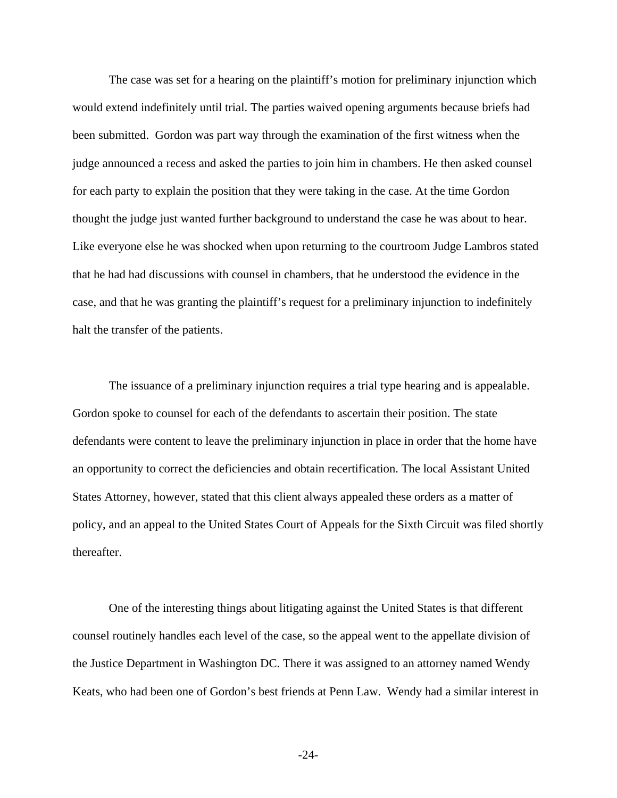The case was set for a hearing on the plaintiff's motion for preliminary injunction which would extend indefinitely until trial. The parties waived opening arguments because briefs had been submitted. Gordon was part way through the examination of the first witness when the judge announced a recess and asked the parties to join him in chambers. He then asked counsel for each party to explain the position that they were taking in the case. At the time Gordon thought the judge just wanted further background to understand the case he was about to hear. Like everyone else he was shocked when upon returning to the courtroom Judge Lambros stated that he had had discussions with counsel in chambers, that he understood the evidence in the case, and that he was granting the plaintiff's request for a preliminary injunction to indefinitely halt the transfer of the patients.

 The issuance of a preliminary injunction requires a trial type hearing and is appealable. Gordon spoke to counsel for each of the defendants to ascertain their position. The state defendants were content to leave the preliminary injunction in place in order that the home have an opportunity to correct the deficiencies and obtain recertification. The local Assistant United States Attorney, however, stated that this client always appealed these orders as a matter of policy, and an appeal to the United States Court of Appeals for the Sixth Circuit was filed shortly thereafter.

 One of the interesting things about litigating against the United States is that different counsel routinely handles each level of the case, so the appeal went to the appellate division of the Justice Department in Washington DC. There it was assigned to an attorney named Wendy Keats, who had been one of Gordon's best friends at Penn Law. Wendy had a similar interest in

-24-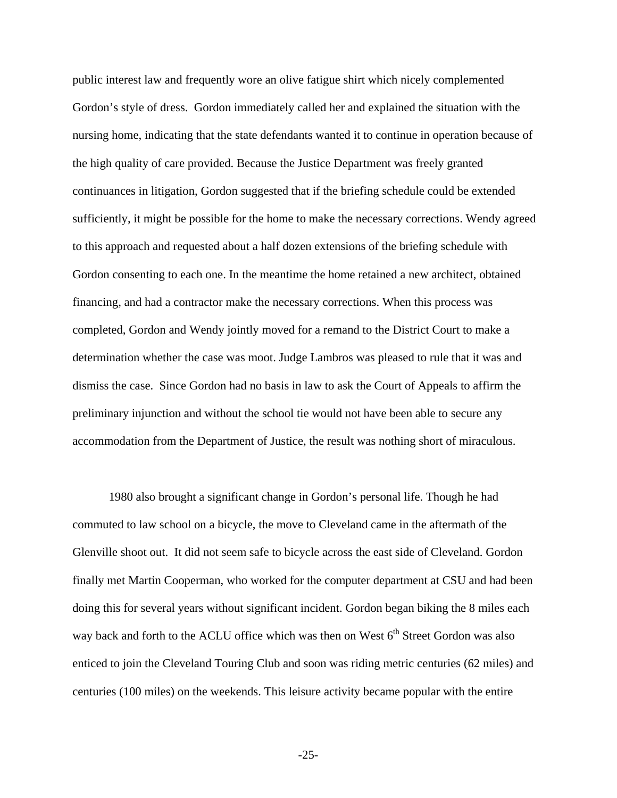public interest law and frequently wore an olive fatigue shirt which nicely complemented Gordon's style of dress. Gordon immediately called her and explained the situation with the nursing home, indicating that the state defendants wanted it to continue in operation because of the high quality of care provided. Because the Justice Department was freely granted continuances in litigation, Gordon suggested that if the briefing schedule could be extended sufficiently, it might be possible for the home to make the necessary corrections. Wendy agreed to this approach and requested about a half dozen extensions of the briefing schedule with Gordon consenting to each one. In the meantime the home retained a new architect, obtained financing, and had a contractor make the necessary corrections. When this process was completed, Gordon and Wendy jointly moved for a remand to the District Court to make a determination whether the case was moot. Judge Lambros was pleased to rule that it was and dismiss the case. Since Gordon had no basis in law to ask the Court of Appeals to affirm the preliminary injunction and without the school tie would not have been able to secure any accommodation from the Department of Justice, the result was nothing short of miraculous.

 1980 also brought a significant change in Gordon's personal life. Though he had commuted to law school on a bicycle, the move to Cleveland came in the aftermath of the Glenville shoot out. It did not seem safe to bicycle across the east side of Cleveland. Gordon finally met Martin Cooperman, who worked for the computer department at CSU and had been doing this for several years without significant incident. Gordon began biking the 8 miles each way back and forth to the ACLU office which was then on West  $6<sup>th</sup>$  Street Gordon was also enticed to join the Cleveland Touring Club and soon was riding metric centuries (62 miles) and centuries (100 miles) on the weekends. This leisure activity became popular with the entire

-25-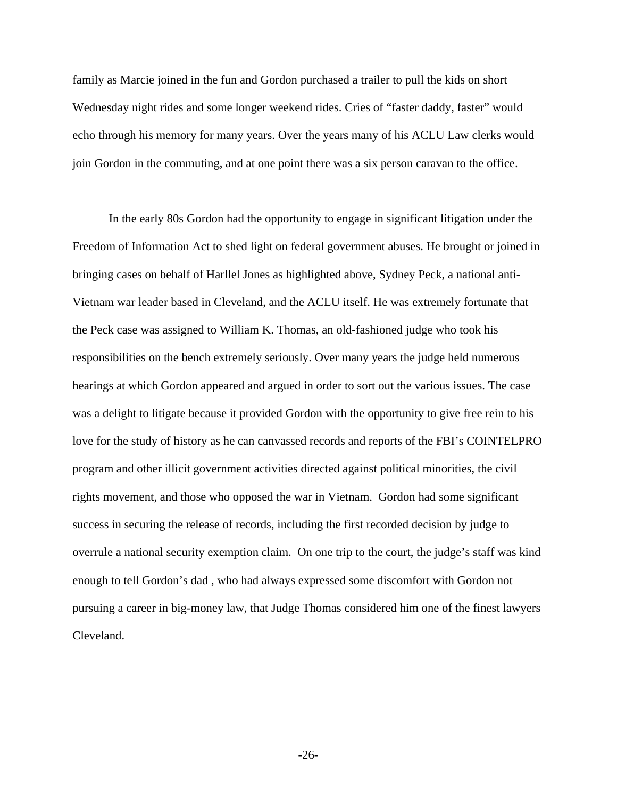family as Marcie joined in the fun and Gordon purchased a trailer to pull the kids on short Wednesday night rides and some longer weekend rides. Cries of "faster daddy, faster" would echo through his memory for many years. Over the years many of his ACLU Law clerks would join Gordon in the commuting, and at one point there was a six person caravan to the office.

 In the early 80s Gordon had the opportunity to engage in significant litigation under the Freedom of Information Act to shed light on federal government abuses. He brought or joined in bringing cases on behalf of Harllel Jones as highlighted above, Sydney Peck, a national anti-Vietnam war leader based in Cleveland, and the ACLU itself. He was extremely fortunate that the Peck case was assigned to William K. Thomas, an old-fashioned judge who took his responsibilities on the bench extremely seriously. Over many years the judge held numerous hearings at which Gordon appeared and argued in order to sort out the various issues. The case was a delight to litigate because it provided Gordon with the opportunity to give free rein to his love for the study of history as he can canvassed records and reports of the FBI's COINTELPRO program and other illicit government activities directed against political minorities, the civil rights movement, and those who opposed the war in Vietnam. Gordon had some significant success in securing the release of records, including the first recorded decision by judge to overrule a national security exemption claim. On one trip to the court, the judge's staff was kind enough to tell Gordon's dad , who had always expressed some discomfort with Gordon not pursuing a career in big-money law, that Judge Thomas considered him one of the finest lawyers Cleveland.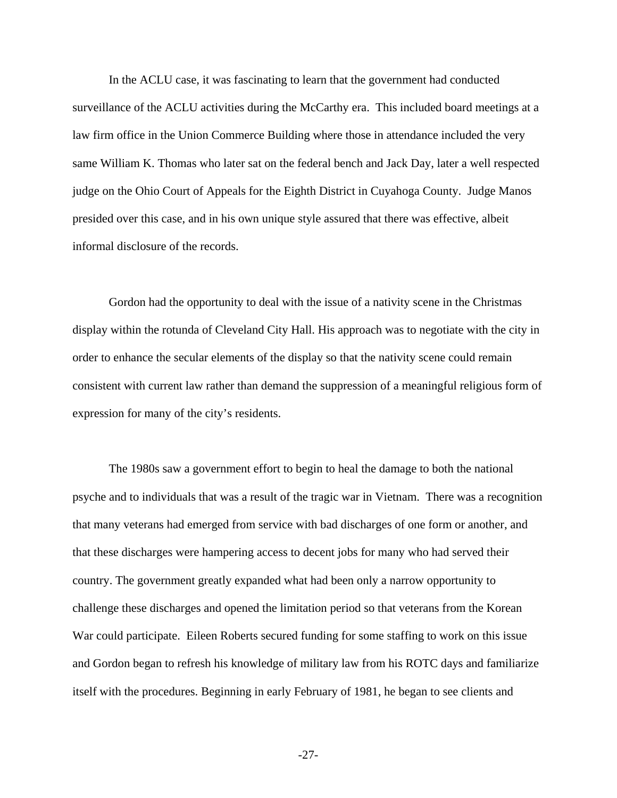In the ACLU case, it was fascinating to learn that the government had conducted surveillance of the ACLU activities during the McCarthy era. This included board meetings at a law firm office in the Union Commerce Building where those in attendance included the very same William K. Thomas who later sat on the federal bench and Jack Day, later a well respected judge on the Ohio Court of Appeals for the Eighth District in Cuyahoga County. Judge Manos presided over this case, and in his own unique style assured that there was effective, albeit informal disclosure of the records.

 Gordon had the opportunity to deal with the issue of a nativity scene in the Christmas display within the rotunda of Cleveland City Hall. His approach was to negotiate with the city in order to enhance the secular elements of the display so that the nativity scene could remain consistent with current law rather than demand the suppression of a meaningful religious form of expression for many of the city's residents.

 The 1980s saw a government effort to begin to heal the damage to both the national psyche and to individuals that was a result of the tragic war in Vietnam. There was a recognition that many veterans had emerged from service with bad discharges of one form or another, and that these discharges were hampering access to decent jobs for many who had served their country. The government greatly expanded what had been only a narrow opportunity to challenge these discharges and opened the limitation period so that veterans from the Korean War could participate. Eileen Roberts secured funding for some staffing to work on this issue and Gordon began to refresh his knowledge of military law from his ROTC days and familiarize itself with the procedures. Beginning in early February of 1981, he began to see clients and

-27-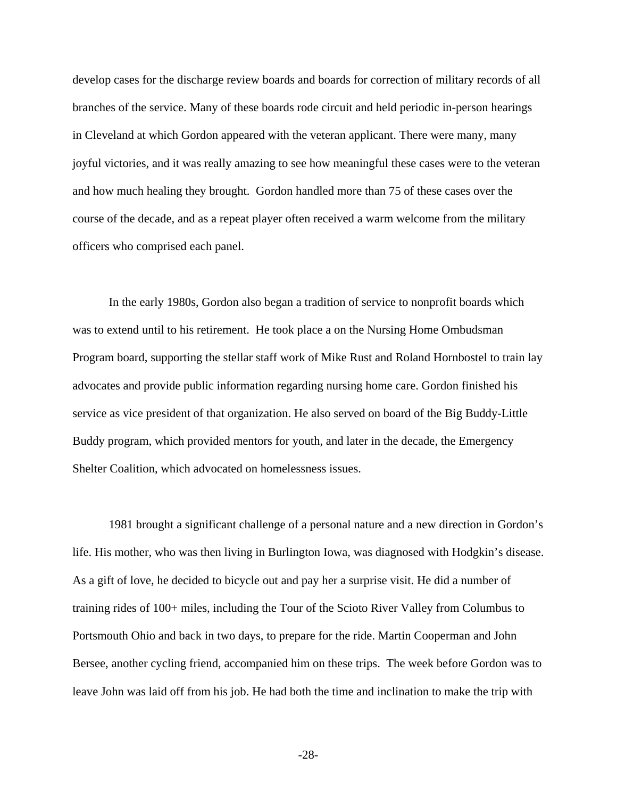develop cases for the discharge review boards and boards for correction of military records of all branches of the service. Many of these boards rode circuit and held periodic in-person hearings in Cleveland at which Gordon appeared with the veteran applicant. There were many, many joyful victories, and it was really amazing to see how meaningful these cases were to the veteran and how much healing they brought. Gordon handled more than 75 of these cases over the course of the decade, and as a repeat player often received a warm welcome from the military officers who comprised each panel.

 In the early 1980s, Gordon also began a tradition of service to nonprofit boards which was to extend until to his retirement. He took place a on the Nursing Home Ombudsman Program board, supporting the stellar staff work of Mike Rust and Roland Hornbostel to train lay advocates and provide public information regarding nursing home care. Gordon finished his service as vice president of that organization. He also served on board of the Big Buddy-Little Buddy program, which provided mentors for youth, and later in the decade, the Emergency Shelter Coalition, which advocated on homelessness issues.

 1981 brought a significant challenge of a personal nature and a new direction in Gordon's life. His mother, who was then living in Burlington Iowa, was diagnosed with Hodgkin's disease. As a gift of love, he decided to bicycle out and pay her a surprise visit. He did a number of training rides of 100+ miles, including the Tour of the Scioto River Valley from Columbus to Portsmouth Ohio and back in two days, to prepare for the ride. Martin Cooperman and John Bersee, another cycling friend, accompanied him on these trips. The week before Gordon was to leave John was laid off from his job. He had both the time and inclination to make the trip with

-28-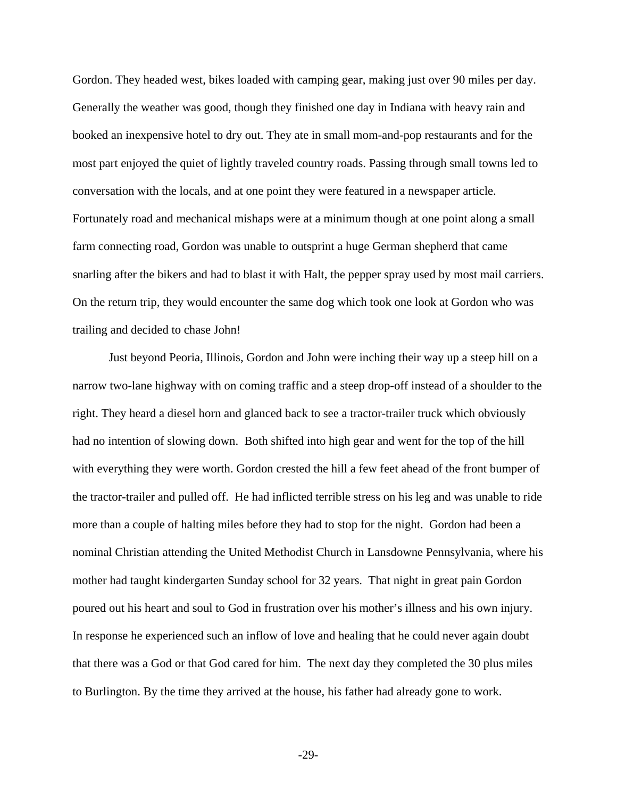Gordon. They headed west, bikes loaded with camping gear, making just over 90 miles per day. Generally the weather was good, though they finished one day in Indiana with heavy rain and booked an inexpensive hotel to dry out. They ate in small mom-and-pop restaurants and for the most part enjoyed the quiet of lightly traveled country roads. Passing through small towns led to conversation with the locals, and at one point they were featured in a newspaper article. Fortunately road and mechanical mishaps were at a minimum though at one point along a small farm connecting road, Gordon was unable to outsprint a huge German shepherd that came snarling after the bikers and had to blast it with Halt, the pepper spray used by most mail carriers. On the return trip, they would encounter the same dog which took one look at Gordon who was trailing and decided to chase John!

 Just beyond Peoria, Illinois, Gordon and John were inching their way up a steep hill on a narrow two-lane highway with on coming traffic and a steep drop-off instead of a shoulder to the right. They heard a diesel horn and glanced back to see a tractor-trailer truck which obviously had no intention of slowing down. Both shifted into high gear and went for the top of the hill with everything they were worth. Gordon crested the hill a few feet ahead of the front bumper of the tractor-trailer and pulled off. He had inflicted terrible stress on his leg and was unable to ride more than a couple of halting miles before they had to stop for the night. Gordon had been a nominal Christian attending the United Methodist Church in Lansdowne Pennsylvania, where his mother had taught kindergarten Sunday school for 32 years. That night in great pain Gordon poured out his heart and soul to God in frustration over his mother's illness and his own injury. In response he experienced such an inflow of love and healing that he could never again doubt that there was a God or that God cared for him. The next day they completed the 30 plus miles to Burlington. By the time they arrived at the house, his father had already gone to work.

-29-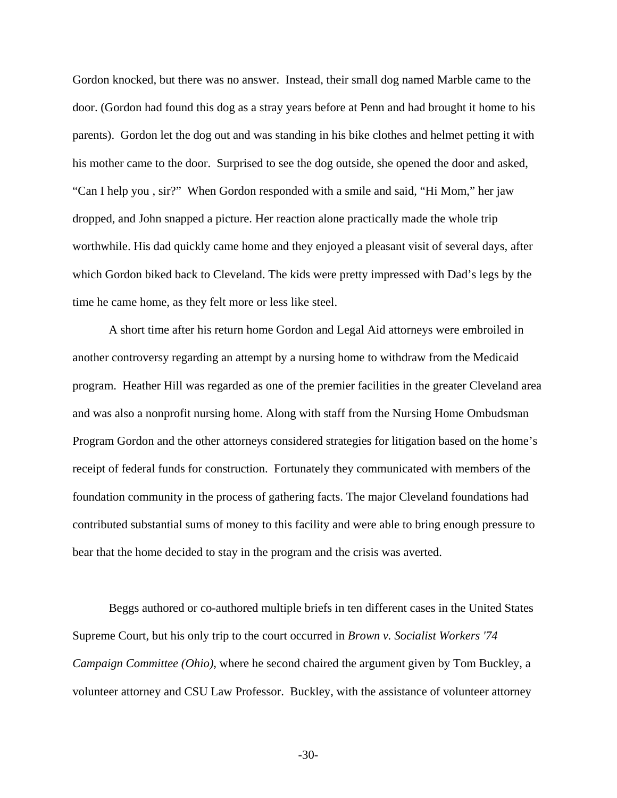Gordon knocked, but there was no answer. Instead, their small dog named Marble came to the door. (Gordon had found this dog as a stray years before at Penn and had brought it home to his parents). Gordon let the dog out and was standing in his bike clothes and helmet petting it with his mother came to the door. Surprised to see the dog outside, she opened the door and asked, "Can I help you , sir?" When Gordon responded with a smile and said, "Hi Mom," her jaw dropped, and John snapped a picture. Her reaction alone practically made the whole trip worthwhile. His dad quickly came home and they enjoyed a pleasant visit of several days, after which Gordon biked back to Cleveland. The kids were pretty impressed with Dad's legs by the time he came home, as they felt more or less like steel.

 A short time after his return home Gordon and Legal Aid attorneys were embroiled in another controversy regarding an attempt by a nursing home to withdraw from the Medicaid program. Heather Hill was regarded as one of the premier facilities in the greater Cleveland area and was also a nonprofit nursing home. Along with staff from the Nursing Home Ombudsman Program Gordon and the other attorneys considered strategies for litigation based on the home's receipt of federal funds for construction. Fortunately they communicated with members of the foundation community in the process of gathering facts. The major Cleveland foundations had contributed substantial sums of money to this facility and were able to bring enough pressure to bear that the home decided to stay in the program and the crisis was averted.

 Beggs authored or co-authored multiple briefs in ten different cases in the United States Supreme Court, but his only trip to the court occurred in *Brown v. Socialist Workers '74 Campaign Committee (Ohio)*, where he second chaired the argument given by Tom Buckley, a volunteer attorney and CSU Law Professor. Buckley, with the assistance of volunteer attorney

-30-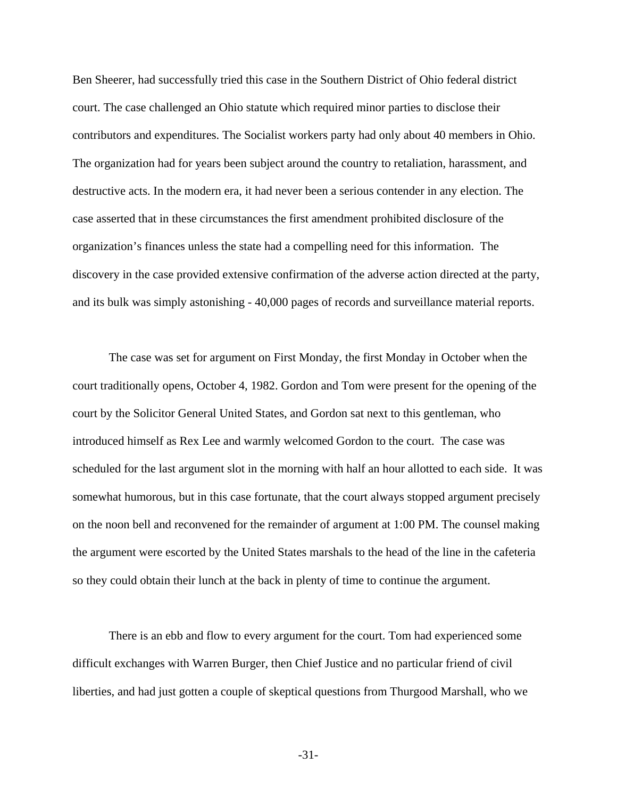Ben Sheerer, had successfully tried this case in the Southern District of Ohio federal district court. The case challenged an Ohio statute which required minor parties to disclose their contributors and expenditures. The Socialist workers party had only about 40 members in Ohio. The organization had for years been subject around the country to retaliation, harassment, and destructive acts. In the modern era, it had never been a serious contender in any election. The case asserted that in these circumstances the first amendment prohibited disclosure of the organization's finances unless the state had a compelling need for this information. The discovery in the case provided extensive confirmation of the adverse action directed at the party, and its bulk was simply astonishing - 40,000 pages of records and surveillance material reports.

 The case was set for argument on First Monday, the first Monday in October when the court traditionally opens, October 4, 1982. Gordon and Tom were present for the opening of the court by the Solicitor General United States, and Gordon sat next to this gentleman, who introduced himself as Rex Lee and warmly welcomed Gordon to the court. The case was scheduled for the last argument slot in the morning with half an hour allotted to each side. It was somewhat humorous, but in this case fortunate, that the court always stopped argument precisely on the noon bell and reconvened for the remainder of argument at 1:00 PM. The counsel making the argument were escorted by the United States marshals to the head of the line in the cafeteria so they could obtain their lunch at the back in plenty of time to continue the argument.

 There is an ebb and flow to every argument for the court. Tom had experienced some difficult exchanges with Warren Burger, then Chief Justice and no particular friend of civil liberties, and had just gotten a couple of skeptical questions from Thurgood Marshall, who we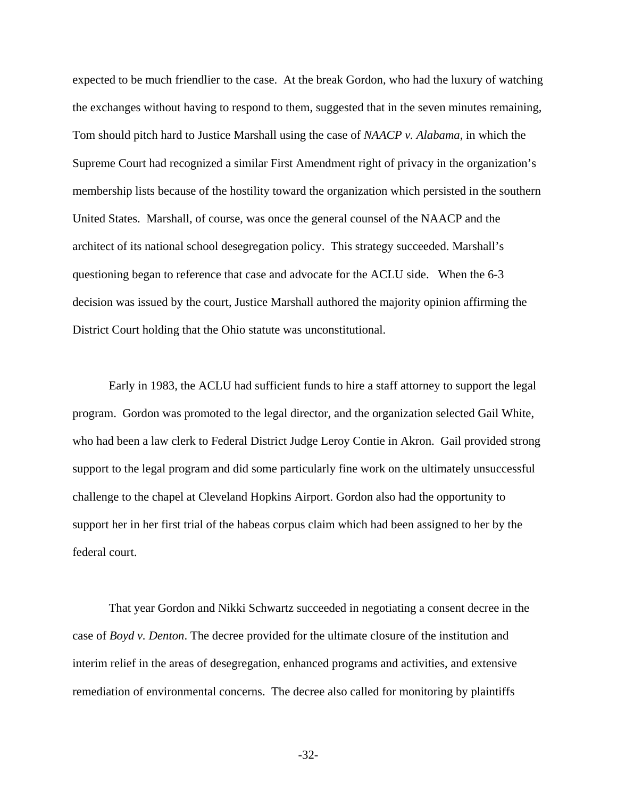expected to be much friendlier to the case. At the break Gordon, who had the luxury of watching the exchanges without having to respond to them, suggested that in the seven minutes remaining, Tom should pitch hard to Justice Marshall using the case of *NAACP v. Alabama*, in which the Supreme Court had recognized a similar First Amendment right of privacy in the organization's membership lists because of the hostility toward the organization which persisted in the southern United States. Marshall, of course, was once the general counsel of the NAACP and the architect of its national school desegregation policy. This strategy succeeded. Marshall's questioning began to reference that case and advocate for the ACLU side. When the 6-3 decision was issued by the court, Justice Marshall authored the majority opinion affirming the District Court holding that the Ohio statute was unconstitutional.

 Early in 1983, the ACLU had sufficient funds to hire a staff attorney to support the legal program. Gordon was promoted to the legal director, and the organization selected Gail White, who had been a law clerk to Federal District Judge Leroy Contie in Akron. Gail provided strong support to the legal program and did some particularly fine work on the ultimately unsuccessful challenge to the chapel at Cleveland Hopkins Airport. Gordon also had the opportunity to support her in her first trial of the habeas corpus claim which had been assigned to her by the federal court.

 That year Gordon and Nikki Schwartz succeeded in negotiating a consent decree in the case of *Boyd v. Denton*. The decree provided for the ultimate closure of the institution and interim relief in the areas of desegregation, enhanced programs and activities, and extensive remediation of environmental concerns. The decree also called for monitoring by plaintiffs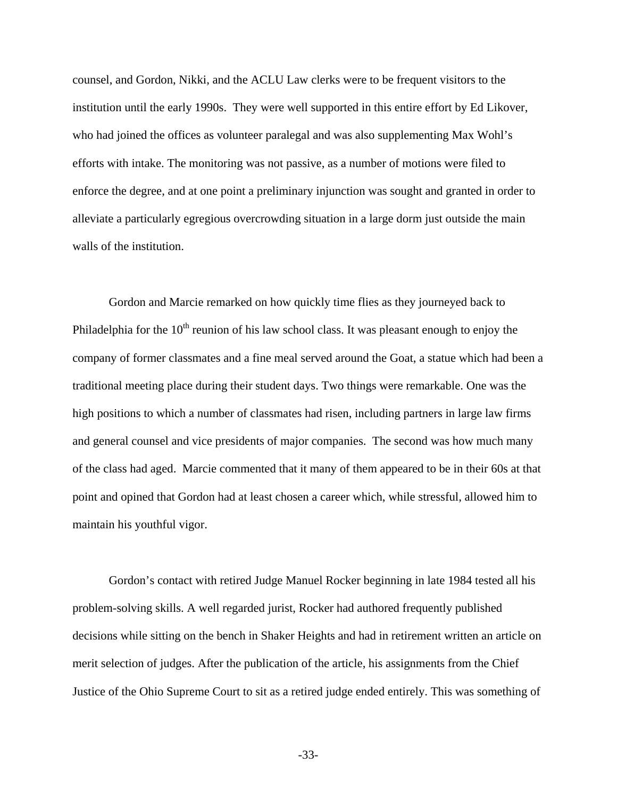counsel, and Gordon, Nikki, and the ACLU Law clerks were to be frequent visitors to the institution until the early 1990s. They were well supported in this entire effort by Ed Likover, who had joined the offices as volunteer paralegal and was also supplementing Max Wohl's efforts with intake. The monitoring was not passive, as a number of motions were filed to enforce the degree, and at one point a preliminary injunction was sought and granted in order to alleviate a particularly egregious overcrowding situation in a large dorm just outside the main walls of the institution.

 Gordon and Marcie remarked on how quickly time flies as they journeyed back to Philadelphia for the  $10<sup>th</sup>$  reunion of his law school class. It was pleasant enough to enjoy the company of former classmates and a fine meal served around the Goat, a statue which had been a traditional meeting place during their student days. Two things were remarkable. One was the high positions to which a number of classmates had risen, including partners in large law firms and general counsel and vice presidents of major companies. The second was how much many of the class had aged. Marcie commented that it many of them appeared to be in their 60s at that point and opined that Gordon had at least chosen a career which, while stressful, allowed him to maintain his youthful vigor.

 Gordon's contact with retired Judge Manuel Rocker beginning in late 1984 tested all his problem-solving skills. A well regarded jurist, Rocker had authored frequently published decisions while sitting on the bench in Shaker Heights and had in retirement written an article on merit selection of judges. After the publication of the article, his assignments from the Chief Justice of the Ohio Supreme Court to sit as a retired judge ended entirely. This was something of

-33-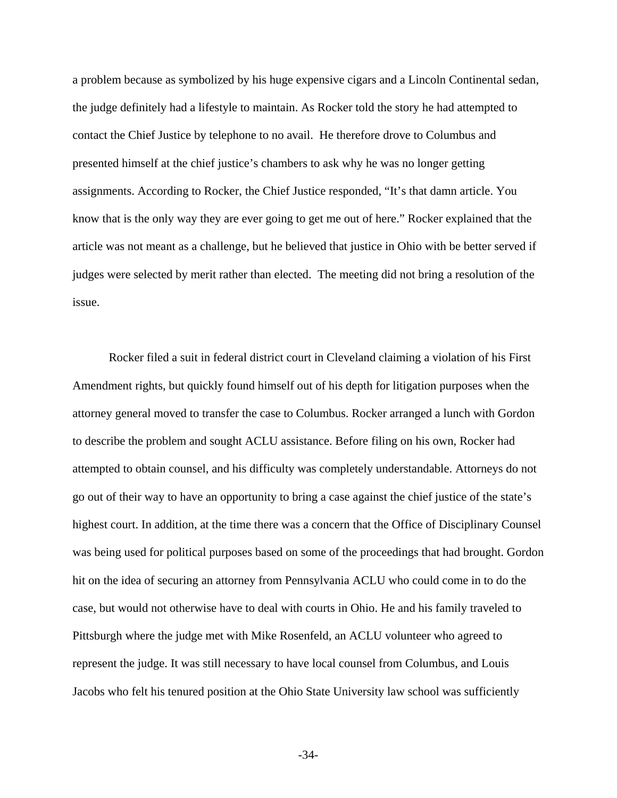a problem because as symbolized by his huge expensive cigars and a Lincoln Continental sedan, the judge definitely had a lifestyle to maintain. As Rocker told the story he had attempted to contact the Chief Justice by telephone to no avail. He therefore drove to Columbus and presented himself at the chief justice's chambers to ask why he was no longer getting assignments. According to Rocker, the Chief Justice responded, "It's that damn article. You know that is the only way they are ever going to get me out of here." Rocker explained that the article was not meant as a challenge, but he believed that justice in Ohio with be better served if judges were selected by merit rather than elected. The meeting did not bring a resolution of the issue.

 Rocker filed a suit in federal district court in Cleveland claiming a violation of his First Amendment rights, but quickly found himself out of his depth for litigation purposes when the attorney general moved to transfer the case to Columbus. Rocker arranged a lunch with Gordon to describe the problem and sought ACLU assistance. Before filing on his own, Rocker had attempted to obtain counsel, and his difficulty was completely understandable. Attorneys do not go out of their way to have an opportunity to bring a case against the chief justice of the state's highest court. In addition, at the time there was a concern that the Office of Disciplinary Counsel was being used for political purposes based on some of the proceedings that had brought. Gordon hit on the idea of securing an attorney from Pennsylvania ACLU who could come in to do the case, but would not otherwise have to deal with courts in Ohio. He and his family traveled to Pittsburgh where the judge met with Mike Rosenfeld, an ACLU volunteer who agreed to represent the judge. It was still necessary to have local counsel from Columbus, and Louis Jacobs who felt his tenured position at the Ohio State University law school was sufficiently

-34-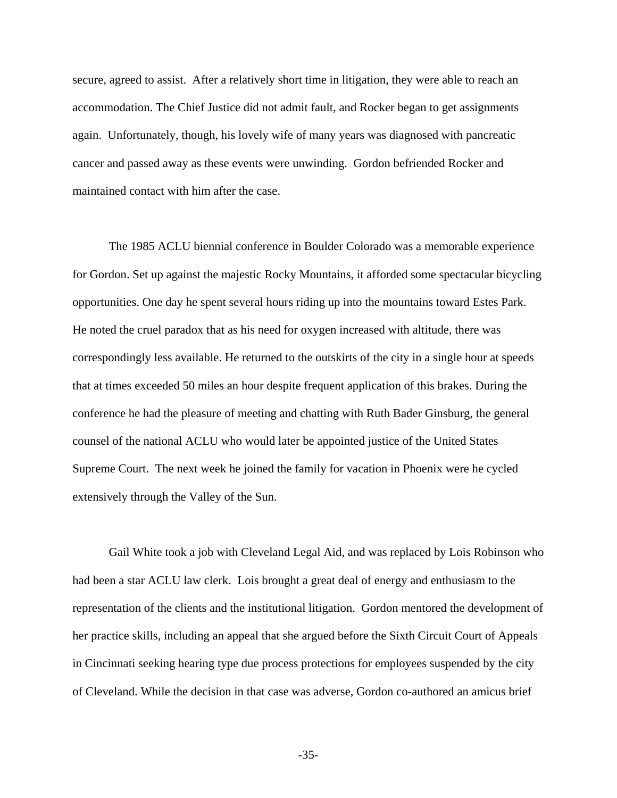secure, agreed to assist. After a relatively short time in litigation, they were able to reach an accommodation. The Chief Justice did not admit fault, and Rocker began to get assignments again. Unfortunately, though, his lovely wife of many years was diagnosed with pancreatic cancer and passed away as these events were unwinding. Gordon befriended Rocker and maintained contact with him after the case.

 The 1985 ACLU biennial conference in Boulder Colorado was a memorable experience for Gordon. Set up against the majestic Rocky Mountains, it afforded some spectacular bicycling opportunities. One day he spent several hours riding up into the mountains toward Estes Park. He noted the cruel paradox that as his need for oxygen increased with altitude, there was correspondingly less available. He returned to the outskirts of the city in a single hour at speeds that at times exceeded 50 miles an hour despite frequent application of this brakes. During the conference he had the pleasure of meeting and chatting with Ruth Bader Ginsburg, the general counsel of the national ACLU who would later be appointed justice of the United States Supreme Court. The next week he joined the family for vacation in Phoenix were he cycled extensively through the Valley of the Sun.

 Gail White took a job with Cleveland Legal Aid, and was replaced by Lois Robinson who had been a star ACLU law clerk. Lois brought a great deal of energy and enthusiasm to the representation of the clients and the institutional litigation. Gordon mentored the development of her practice skills, including an appeal that she argued before the Sixth Circuit Court of Appeals in Cincinnati seeking hearing type due process protections for employees suspended by the city of Cleveland. While the decision in that case was adverse, Gordon co-authored an amicus brief

-35-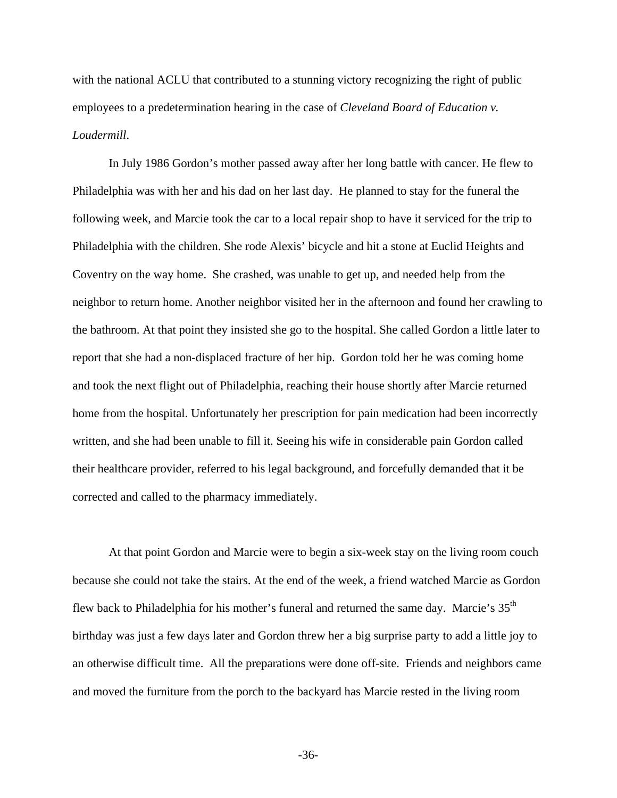with the national ACLU that contributed to a stunning victory recognizing the right of public employees to a predetermination hearing in the case of *Cleveland Board of Education v. Loudermill*.

 In July 1986 Gordon's mother passed away after her long battle with cancer. He flew to Philadelphia was with her and his dad on her last day. He planned to stay for the funeral the following week, and Marcie took the car to a local repair shop to have it serviced for the trip to Philadelphia with the children. She rode Alexis' bicycle and hit a stone at Euclid Heights and Coventry on the way home. She crashed, was unable to get up, and needed help from the neighbor to return home. Another neighbor visited her in the afternoon and found her crawling to the bathroom. At that point they insisted she go to the hospital. She called Gordon a little later to report that she had a non-displaced fracture of her hip. Gordon told her he was coming home and took the next flight out of Philadelphia, reaching their house shortly after Marcie returned home from the hospital. Unfortunately her prescription for pain medication had been incorrectly written, and she had been unable to fill it. Seeing his wife in considerable pain Gordon called their healthcare provider, referred to his legal background, and forcefully demanded that it be corrected and called to the pharmacy immediately.

 At that point Gordon and Marcie were to begin a six-week stay on the living room couch because she could not take the stairs. At the end of the week, a friend watched Marcie as Gordon flew back to Philadelphia for his mother's funeral and returned the same day. Marcie's 35<sup>th</sup> birthday was just a few days later and Gordon threw her a big surprise party to add a little joy to an otherwise difficult time. All the preparations were done off-site. Friends and neighbors came and moved the furniture from the porch to the backyard has Marcie rested in the living room

-36-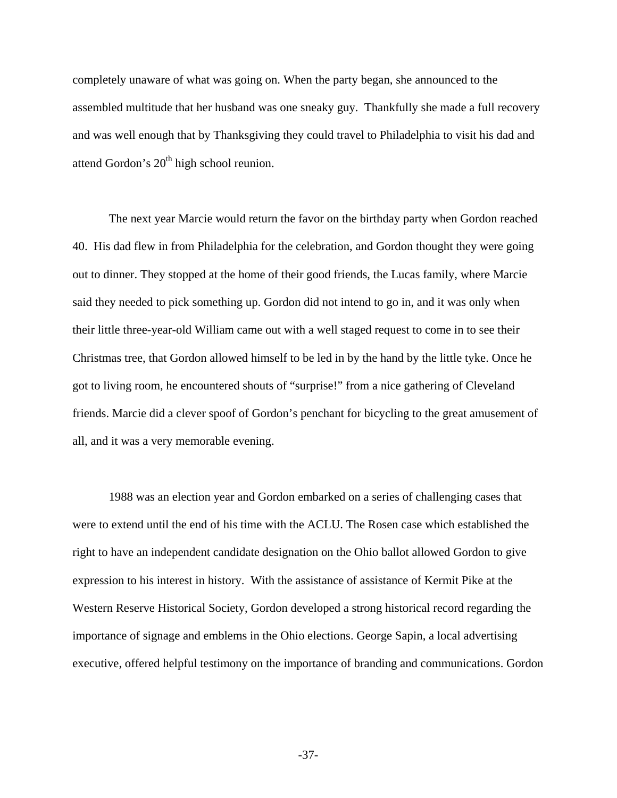completely unaware of what was going on. When the party began, she announced to the assembled multitude that her husband was one sneaky guy. Thankfully she made a full recovery and was well enough that by Thanksgiving they could travel to Philadelphia to visit his dad and attend Gordon's  $20<sup>th</sup>$  high school reunion.

 The next year Marcie would return the favor on the birthday party when Gordon reached 40. His dad flew in from Philadelphia for the celebration, and Gordon thought they were going out to dinner. They stopped at the home of their good friends, the Lucas family, where Marcie said they needed to pick something up. Gordon did not intend to go in, and it was only when their little three-year-old William came out with a well staged request to come in to see their Christmas tree, that Gordon allowed himself to be led in by the hand by the little tyke. Once he got to living room, he encountered shouts of "surprise!" from a nice gathering of Cleveland friends. Marcie did a clever spoof of Gordon's penchant for bicycling to the great amusement of all, and it was a very memorable evening.

 1988 was an election year and Gordon embarked on a series of challenging cases that were to extend until the end of his time with the ACLU. The Rosen case which established the right to have an independent candidate designation on the Ohio ballot allowed Gordon to give expression to his interest in history. With the assistance of assistance of Kermit Pike at the Western Reserve Historical Society, Gordon developed a strong historical record regarding the importance of signage and emblems in the Ohio elections. George Sapin, a local advertising executive, offered helpful testimony on the importance of branding and communications. Gordon

-37-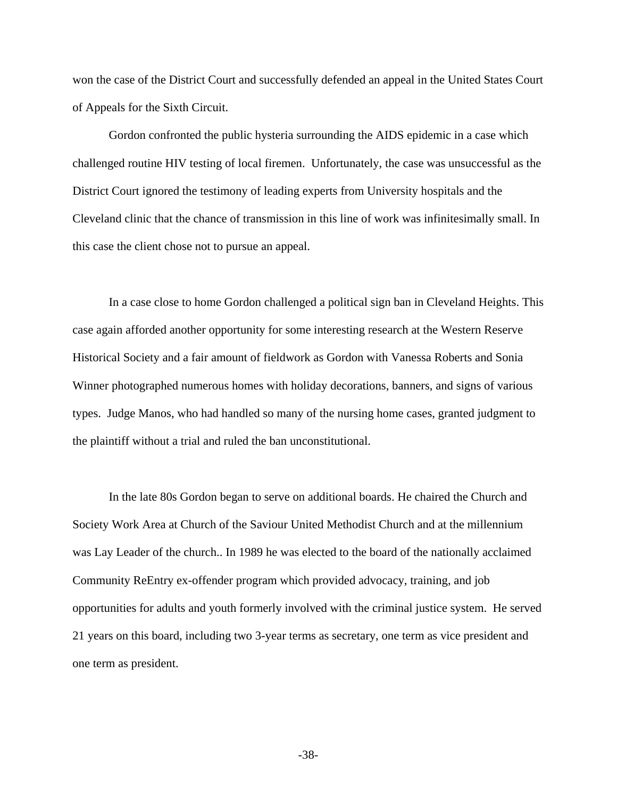won the case of the District Court and successfully defended an appeal in the United States Court of Appeals for the Sixth Circuit.

 Gordon confronted the public hysteria surrounding the AIDS epidemic in a case which challenged routine HIV testing of local firemen. Unfortunately, the case was unsuccessful as the District Court ignored the testimony of leading experts from University hospitals and the Cleveland clinic that the chance of transmission in this line of work was infinitesimally small. In this case the client chose not to pursue an appeal.

 In a case close to home Gordon challenged a political sign ban in Cleveland Heights. This case again afforded another opportunity for some interesting research at the Western Reserve Historical Society and a fair amount of fieldwork as Gordon with Vanessa Roberts and Sonia Winner photographed numerous homes with holiday decorations, banners, and signs of various types. Judge Manos, who had handled so many of the nursing home cases, granted judgment to the plaintiff without a trial and ruled the ban unconstitutional.

In the late 80s Gordon began to serve on additional boards. He chaired the Church and Society Work Area at Church of the Saviour United Methodist Church and at the millennium was Lay Leader of the church.. In 1989 he was elected to the board of the nationally acclaimed Community ReEntry ex-offender program which provided advocacy, training, and job opportunities for adults and youth formerly involved with the criminal justice system. He served 21 years on this board, including two 3-year terms as secretary, one term as vice president and one term as president.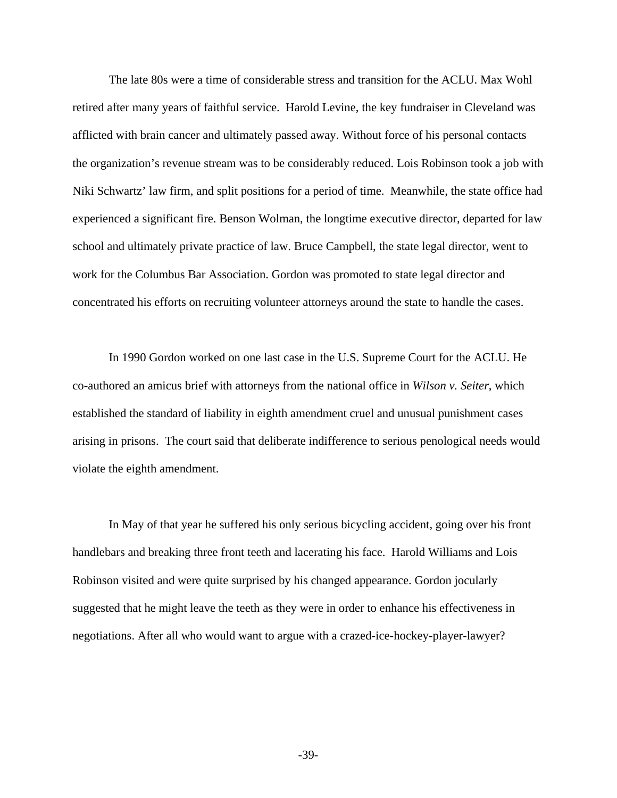The late 80s were a time of considerable stress and transition for the ACLU. Max Wohl retired after many years of faithful service. Harold Levine, the key fundraiser in Cleveland was afflicted with brain cancer and ultimately passed away. Without force of his personal contacts the organization's revenue stream was to be considerably reduced. Lois Robinson took a job with Niki Schwartz' law firm, and split positions for a period of time. Meanwhile, the state office had experienced a significant fire. Benson Wolman, the longtime executive director, departed for law school and ultimately private practice of law. Bruce Campbell, the state legal director, went to work for the Columbus Bar Association. Gordon was promoted to state legal director and concentrated his efforts on recruiting volunteer attorneys around the state to handle the cases.

 In 1990 Gordon worked on one last case in the U.S. Supreme Court for the ACLU. He co-authored an amicus brief with attorneys from the national office in *Wilson v. Seiter*, which established the standard of liability in eighth amendment cruel and unusual punishment cases arising in prisons. The court said that deliberate indifference to serious penological needs would violate the eighth amendment.

 In May of that year he suffered his only serious bicycling accident, going over his front handlebars and breaking three front teeth and lacerating his face. Harold Williams and Lois Robinson visited and were quite surprised by his changed appearance. Gordon jocularly suggested that he might leave the teeth as they were in order to enhance his effectiveness in negotiations. After all who would want to argue with a crazed-ice-hockey-player-lawyer?

-39-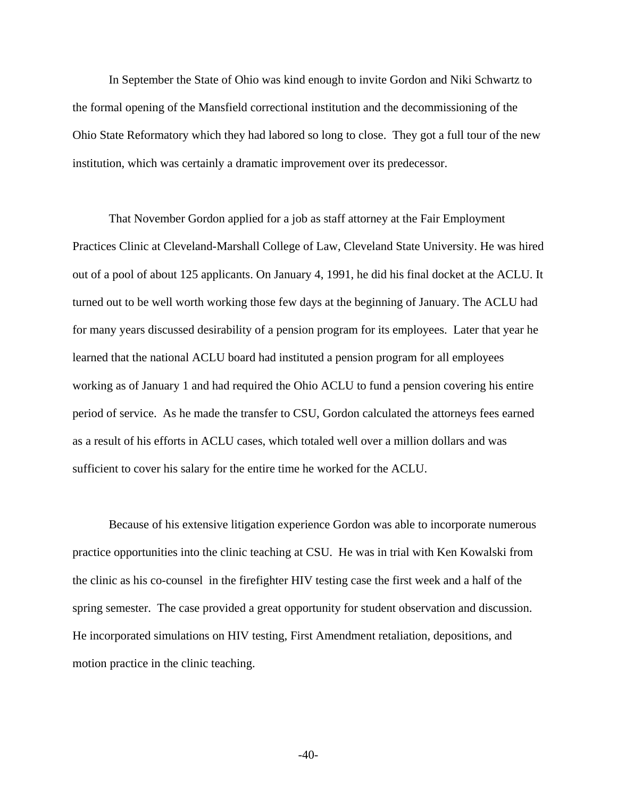In September the State of Ohio was kind enough to invite Gordon and Niki Schwartz to the formal opening of the Mansfield correctional institution and the decommissioning of the Ohio State Reformatory which they had labored so long to close. They got a full tour of the new institution, which was certainly a dramatic improvement over its predecessor.

 That November Gordon applied for a job as staff attorney at the Fair Employment Practices Clinic at Cleveland-Marshall College of Law, Cleveland State University. He was hired out of a pool of about 125 applicants. On January 4, 1991, he did his final docket at the ACLU. It turned out to be well worth working those few days at the beginning of January. The ACLU had for many years discussed desirability of a pension program for its employees. Later that year he learned that the national ACLU board had instituted a pension program for all employees working as of January 1 and had required the Ohio ACLU to fund a pension covering his entire period of service. As he made the transfer to CSU, Gordon calculated the attorneys fees earned as a result of his efforts in ACLU cases, which totaled well over a million dollars and was sufficient to cover his salary for the entire time he worked for the ACLU.

 Because of his extensive litigation experience Gordon was able to incorporate numerous practice opportunities into the clinic teaching at CSU. He was in trial with Ken Kowalski from the clinic as his co-counsel in the firefighter HIV testing case the first week and a half of the spring semester. The case provided a great opportunity for student observation and discussion. He incorporated simulations on HIV testing, First Amendment retaliation, depositions, and motion practice in the clinic teaching.

-40-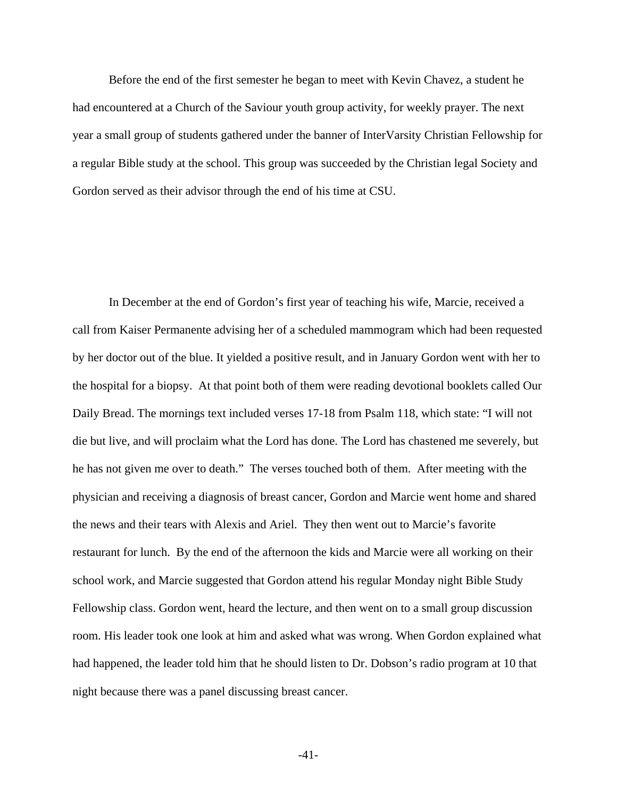Before the end of the first semester he began to meet with Kevin Chavez, a student he had encountered at a Church of the Saviour youth group activity, for weekly prayer. The next year a small group of students gathered under the banner of InterVarsity Christian Fellowship for a regular Bible study at the school. This group was succeeded by the Christian legal Society and Gordon served as their advisor through the end of his time at CSU.

 In December at the end of Gordon's first year of teaching his wife, Marcie, received a call from Kaiser Permanente advising her of a scheduled mammogram which had been requested by her doctor out of the blue. It yielded a positive result, and in January Gordon went with her to the hospital for a biopsy. At that point both of them were reading devotional booklets called Our Daily Bread. The mornings text included verses 17-18 from Psalm 118, which state: "I will not die but live, and will proclaim what the Lord has done. The Lord has chastened me severely, but he has not given me over to death." The verses touched both of them. After meeting with the physician and receiving a diagnosis of breast cancer, Gordon and Marcie went home and shared the news and their tears with Alexis and Ariel. They then went out to Marcie's favorite restaurant for lunch. By the end of the afternoon the kids and Marcie were all working on their school work, and Marcie suggested that Gordon attend his regular Monday night Bible Study Fellowship class. Gordon went, heard the lecture, and then went on to a small group discussion room. His leader took one look at him and asked what was wrong. When Gordon explained what had happened, the leader told him that he should listen to Dr. Dobson's radio program at 10 that night because there was a panel discussing breast cancer.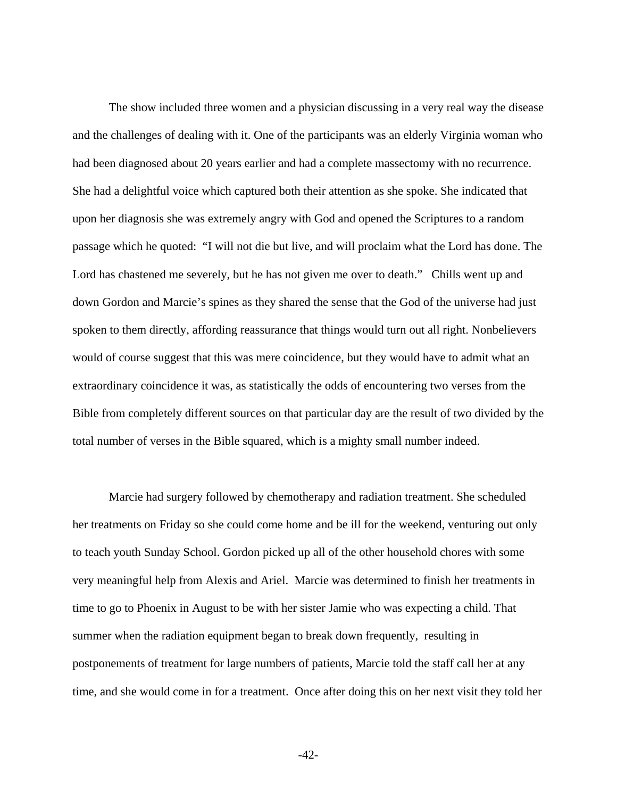The show included three women and a physician discussing in a very real way the disease and the challenges of dealing with it. One of the participants was an elderly Virginia woman who had been diagnosed about 20 years earlier and had a complete massectomy with no recurrence. She had a delightful voice which captured both their attention as she spoke. She indicated that upon her diagnosis she was extremely angry with God and opened the Scriptures to a random passage which he quoted: "I will not die but live, and will proclaim what the Lord has done. The Lord has chastened me severely, but he has not given me over to death." Chills went up and down Gordon and Marcie's spines as they shared the sense that the God of the universe had just spoken to them directly, affording reassurance that things would turn out all right. Nonbelievers would of course suggest that this was mere coincidence, but they would have to admit what an extraordinary coincidence it was, as statistically the odds of encountering two verses from the Bible from completely different sources on that particular day are the result of two divided by the total number of verses in the Bible squared, which is a mighty small number indeed.

 Marcie had surgery followed by chemotherapy and radiation treatment. She scheduled her treatments on Friday so she could come home and be ill for the weekend, venturing out only to teach youth Sunday School. Gordon picked up all of the other household chores with some very meaningful help from Alexis and Ariel. Marcie was determined to finish her treatments in time to go to Phoenix in August to be with her sister Jamie who was expecting a child. That summer when the radiation equipment began to break down frequently, resulting in postponements of treatment for large numbers of patients, Marcie told the staff call her at any time, and she would come in for a treatment. Once after doing this on her next visit they told her

-42-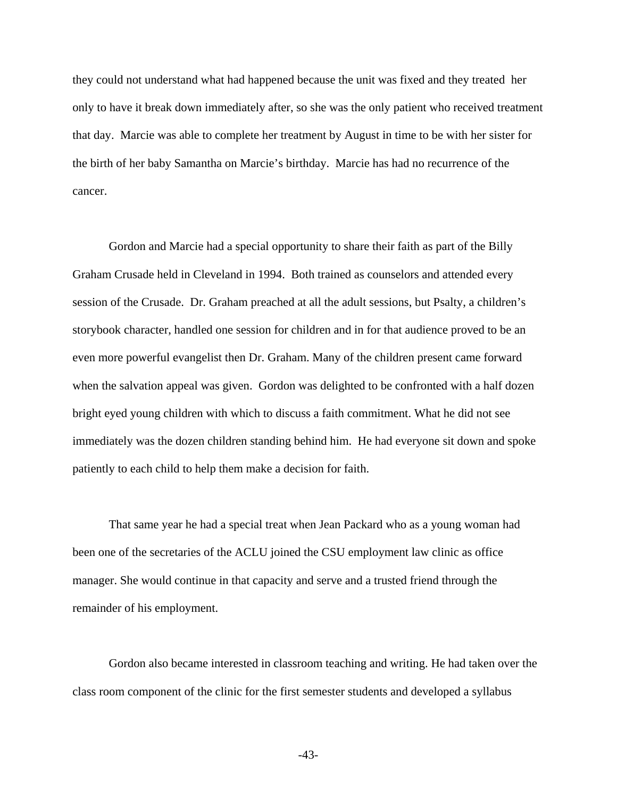they could not understand what had happened because the unit was fixed and they treated her only to have it break down immediately after, so she was the only patient who received treatment that day. Marcie was able to complete her treatment by August in time to be with her sister for the birth of her baby Samantha on Marcie's birthday. Marcie has had no recurrence of the cancer.

 Gordon and Marcie had a special opportunity to share their faith as part of the Billy Graham Crusade held in Cleveland in 1994. Both trained as counselors and attended every session of the Crusade. Dr. Graham preached at all the adult sessions, but Psalty, a children's storybook character, handled one session for children and in for that audience proved to be an even more powerful evangelist then Dr. Graham. Many of the children present came forward when the salvation appeal was given. Gordon was delighted to be confronted with a half dozen bright eyed young children with which to discuss a faith commitment. What he did not see immediately was the dozen children standing behind him. He had everyone sit down and spoke patiently to each child to help them make a decision for faith.

 That same year he had a special treat when Jean Packard who as a young woman had been one of the secretaries of the ACLU joined the CSU employment law clinic as office manager. She would continue in that capacity and serve and a trusted friend through the remainder of his employment.

 Gordon also became interested in classroom teaching and writing. He had taken over the class room component of the clinic for the first semester students and developed a syllabus

-43-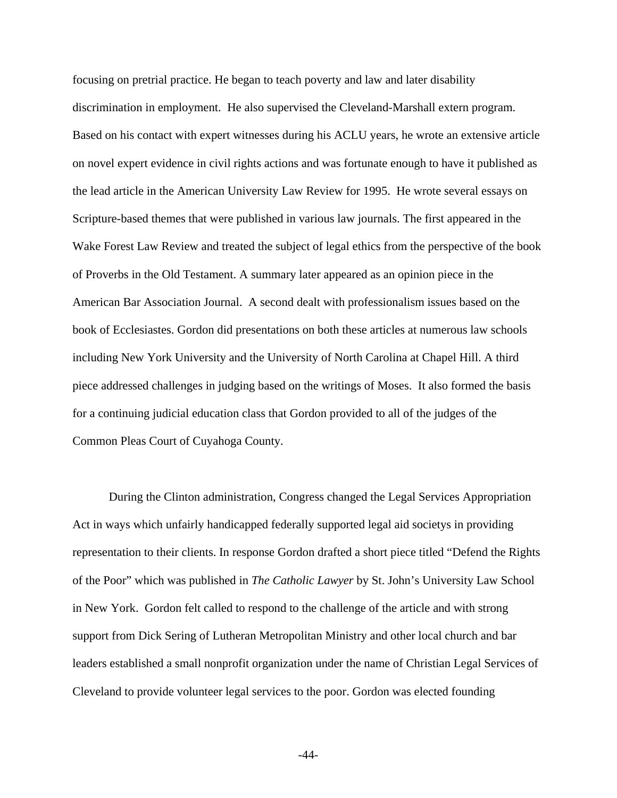focusing on pretrial practice. He began to teach poverty and law and later disability discrimination in employment. He also supervised the Cleveland-Marshall extern program. Based on his contact with expert witnesses during his ACLU years, he wrote an extensive article on novel expert evidence in civil rights actions and was fortunate enough to have it published as the lead article in the American University Law Review for 1995. He wrote several essays on Scripture-based themes that were published in various law journals. The first appeared in the Wake Forest Law Review and treated the subject of legal ethics from the perspective of the book of Proverbs in the Old Testament. A summary later appeared as an opinion piece in the American Bar Association Journal. A second dealt with professionalism issues based on the book of Ecclesiastes. Gordon did presentations on both these articles at numerous law schools including New York University and the University of North Carolina at Chapel Hill. A third piece addressed challenges in judging based on the writings of Moses. It also formed the basis for a continuing judicial education class that Gordon provided to all of the judges of the Common Pleas Court of Cuyahoga County.

 During the Clinton administration, Congress changed the Legal Services Appropriation Act in ways which unfairly handicapped federally supported legal aid societys in providing representation to their clients. In response Gordon drafted a short piece titled "Defend the Rights of the Poor" which was published in *The Catholic Lawyer* by St. John's University Law School in New York. Gordon felt called to respond to the challenge of the article and with strong support from Dick Sering of Lutheran Metropolitan Ministry and other local church and bar leaders established a small nonprofit organization under the name of Christian Legal Services of Cleveland to provide volunteer legal services to the poor. Gordon was elected founding

-44-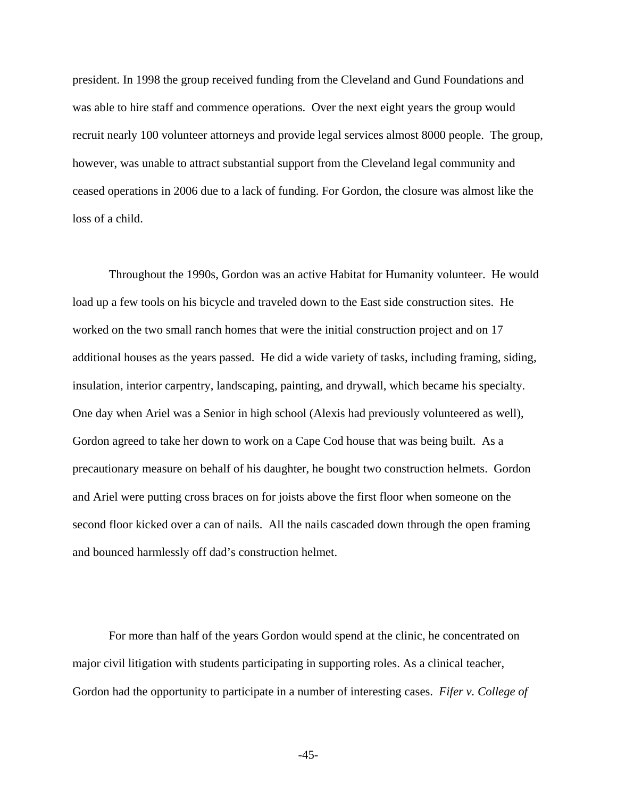president. In 1998 the group received funding from the Cleveland and Gund Foundations and was able to hire staff and commence operations. Over the next eight years the group would recruit nearly 100 volunteer attorneys and provide legal services almost 8000 people. The group, however, was unable to attract substantial support from the Cleveland legal community and ceased operations in 2006 due to a lack of funding. For Gordon, the closure was almost like the loss of a child.

 Throughout the 1990s, Gordon was an active Habitat for Humanity volunteer. He would load up a few tools on his bicycle and traveled down to the East side construction sites. He worked on the two small ranch homes that were the initial construction project and on 17 additional houses as the years passed. He did a wide variety of tasks, including framing, siding, insulation, interior carpentry, landscaping, painting, and drywall, which became his specialty. One day when Ariel was a Senior in high school (Alexis had previously volunteered as well), Gordon agreed to take her down to work on a Cape Cod house that was being built. As a precautionary measure on behalf of his daughter, he bought two construction helmets. Gordon and Ariel were putting cross braces on for joists above the first floor when someone on the second floor kicked over a can of nails. All the nails cascaded down through the open framing and bounced harmlessly off dad's construction helmet.

 For more than half of the years Gordon would spend at the clinic, he concentrated on major civil litigation with students participating in supporting roles. As a clinical teacher, Gordon had the opportunity to participate in a number of interesting cases. *Fifer v. College of* 

-45-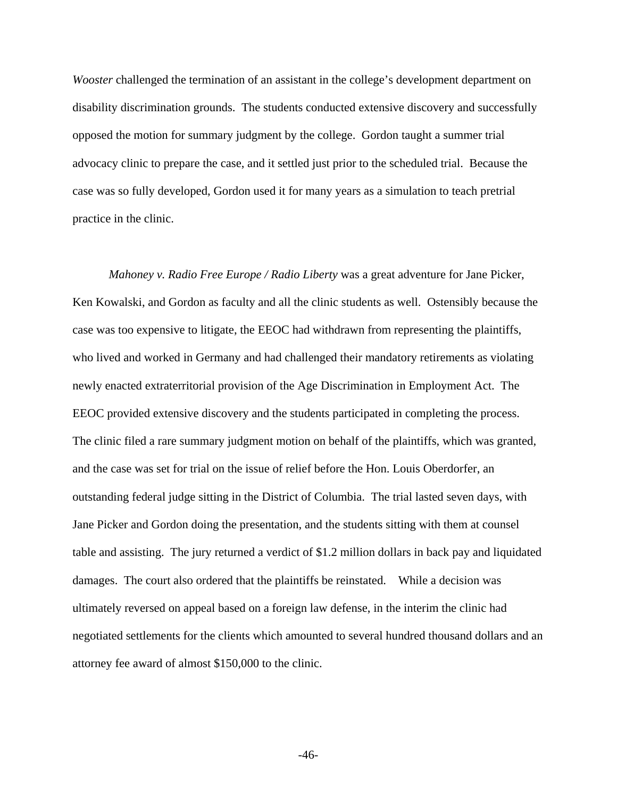*Wooster* challenged the termination of an assistant in the college's development department on disability discrimination grounds. The students conducted extensive discovery and successfully opposed the motion for summary judgment by the college. Gordon taught a summer trial advocacy clinic to prepare the case, and it settled just prior to the scheduled trial. Because the case was so fully developed, Gordon used it for many years as a simulation to teach pretrial practice in the clinic.

*Mahoney v. Radio Free Europe / Radio Liberty* was a great adventure for Jane Picker, Ken Kowalski, and Gordon as faculty and all the clinic students as well. Ostensibly because the case was too expensive to litigate, the EEOC had withdrawn from representing the plaintiffs, who lived and worked in Germany and had challenged their mandatory retirements as violating newly enacted extraterritorial provision of the Age Discrimination in Employment Act. The EEOC provided extensive discovery and the students participated in completing the process. The clinic filed a rare summary judgment motion on behalf of the plaintiffs, which was granted, and the case was set for trial on the issue of relief before the Hon. Louis Oberdorfer, an outstanding federal judge sitting in the District of Columbia. The trial lasted seven days, with Jane Picker and Gordon doing the presentation, and the students sitting with them at counsel table and assisting. The jury returned a verdict of \$1.2 million dollars in back pay and liquidated damages. The court also ordered that the plaintiffs be reinstated. While a decision was ultimately reversed on appeal based on a foreign law defense, in the interim the clinic had negotiated settlements for the clients which amounted to several hundred thousand dollars and an attorney fee award of almost \$150,000 to the clinic.

-46-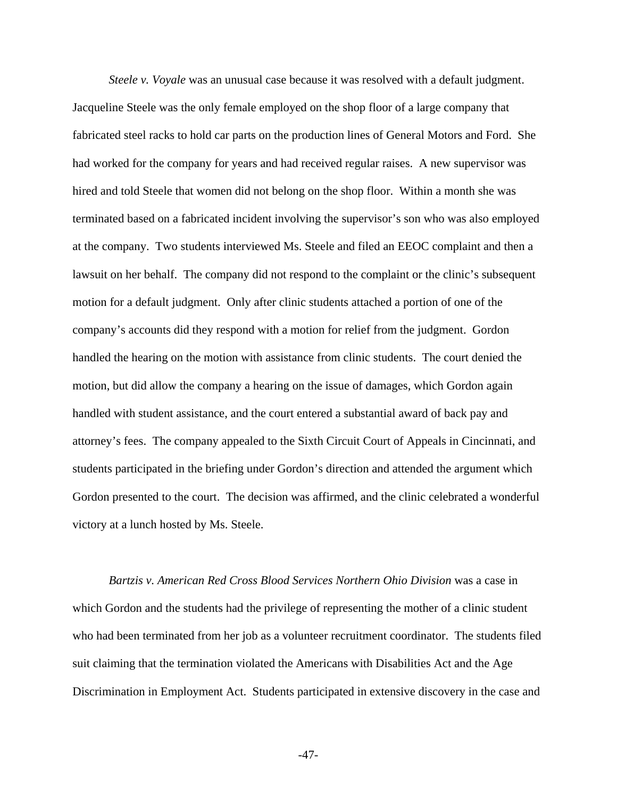*Steele v. Voyale* was an unusual case because it was resolved with a default judgment. Jacqueline Steele was the only female employed on the shop floor of a large company that fabricated steel racks to hold car parts on the production lines of General Motors and Ford. She had worked for the company for years and had received regular raises. A new supervisor was hired and told Steele that women did not belong on the shop floor. Within a month she was terminated based on a fabricated incident involving the supervisor's son who was also employed at the company. Two students interviewed Ms. Steele and filed an EEOC complaint and then a lawsuit on her behalf. The company did not respond to the complaint or the clinic's subsequent motion for a default judgment. Only after clinic students attached a portion of one of the company's accounts did they respond with a motion for relief from the judgment. Gordon handled the hearing on the motion with assistance from clinic students. The court denied the motion, but did allow the company a hearing on the issue of damages, which Gordon again handled with student assistance, and the court entered a substantial award of back pay and attorney's fees. The company appealed to the Sixth Circuit Court of Appeals in Cincinnati, and students participated in the briefing under Gordon's direction and attended the argument which Gordon presented to the court. The decision was affirmed, and the clinic celebrated a wonderful victory at a lunch hosted by Ms. Steele.

*Bartzis v. American Red Cross Blood Services Northern Ohio Division* was a case in which Gordon and the students had the privilege of representing the mother of a clinic student who had been terminated from her job as a volunteer recruitment coordinator. The students filed suit claiming that the termination violated the Americans with Disabilities Act and the Age Discrimination in Employment Act. Students participated in extensive discovery in the case and

-47-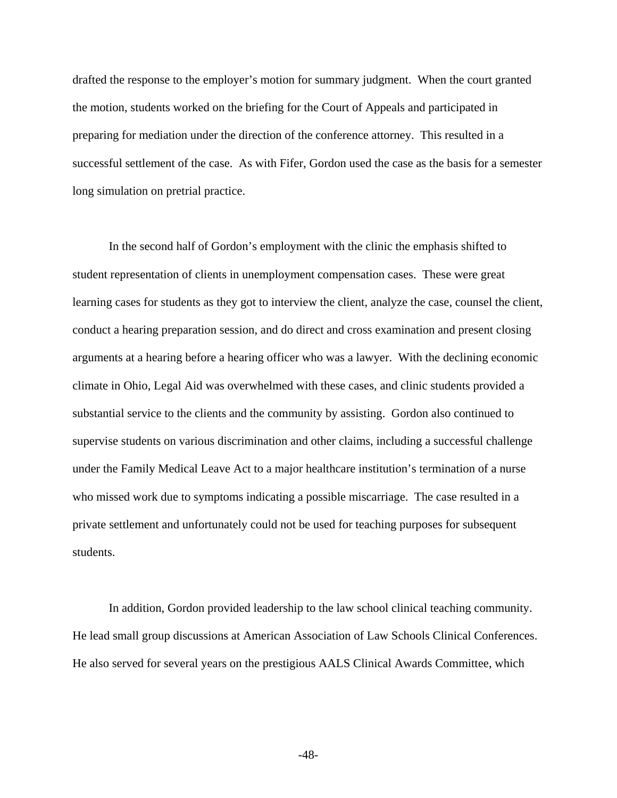drafted the response to the employer's motion for summary judgment. When the court granted the motion, students worked on the briefing for the Court of Appeals and participated in preparing for mediation under the direction of the conference attorney. This resulted in a successful settlement of the case. As with Fifer, Gordon used the case as the basis for a semester long simulation on pretrial practice.

 In the second half of Gordon's employment with the clinic the emphasis shifted to student representation of clients in unemployment compensation cases. These were great learning cases for students as they got to interview the client, analyze the case, counsel the client, conduct a hearing preparation session, and do direct and cross examination and present closing arguments at a hearing before a hearing officer who was a lawyer. With the declining economic climate in Ohio, Legal Aid was overwhelmed with these cases, and clinic students provided a substantial service to the clients and the community by assisting. Gordon also continued to supervise students on various discrimination and other claims, including a successful challenge under the Family Medical Leave Act to a major healthcare institution's termination of a nurse who missed work due to symptoms indicating a possible miscarriage. The case resulted in a private settlement and unfortunately could not be used for teaching purposes for subsequent students.

 In addition, Gordon provided leadership to the law school clinical teaching community. He lead small group discussions at American Association of Law Schools Clinical Conferences. He also served for several years on the prestigious AALS Clinical Awards Committee, which

-48-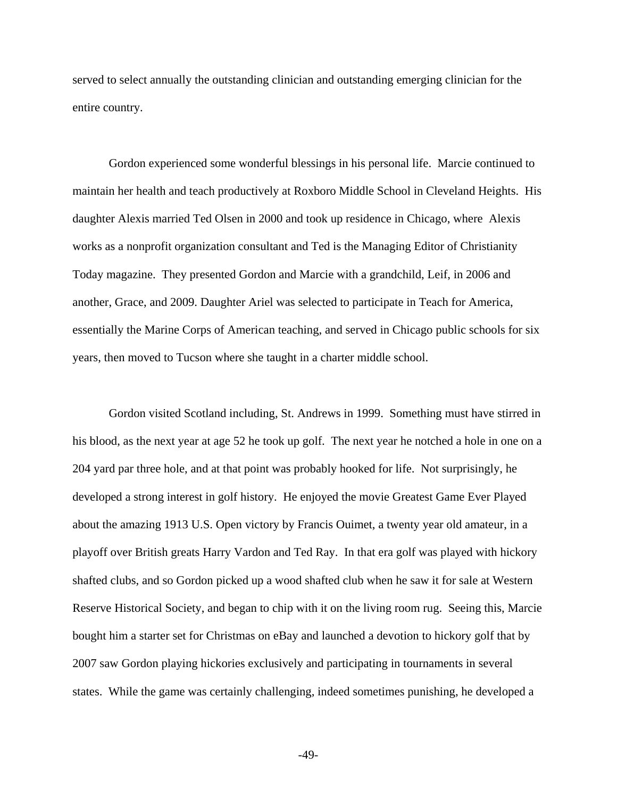served to select annually the outstanding clinician and outstanding emerging clinician for the entire country.

 Gordon experienced some wonderful blessings in his personal life. Marcie continued to maintain her health and teach productively at Roxboro Middle School in Cleveland Heights. His daughter Alexis married Ted Olsen in 2000 and took up residence in Chicago, where Alexis works as a nonprofit organization consultant and Ted is the Managing Editor of Christianity Today magazine. They presented Gordon and Marcie with a grandchild, Leif, in 2006 and another, Grace, and 2009. Daughter Ariel was selected to participate in Teach for America, essentially the Marine Corps of American teaching, and served in Chicago public schools for six years, then moved to Tucson where she taught in a charter middle school.

 Gordon visited Scotland including, St. Andrews in 1999. Something must have stirred in his blood, as the next year at age 52 he took up golf. The next year he notched a hole in one on a 204 yard par three hole, and at that point was probably hooked for life. Not surprisingly, he developed a strong interest in golf history. He enjoyed the movie Greatest Game Ever Played about the amazing 1913 U.S. Open victory by Francis Ouimet, a twenty year old amateur, in a playoff over British greats Harry Vardon and Ted Ray. In that era golf was played with hickory shafted clubs, and so Gordon picked up a wood shafted club when he saw it for sale at Western Reserve Historical Society, and began to chip with it on the living room rug. Seeing this, Marcie bought him a starter set for Christmas on eBay and launched a devotion to hickory golf that by 2007 saw Gordon playing hickories exclusively and participating in tournaments in several states. While the game was certainly challenging, indeed sometimes punishing, he developed a

-49-